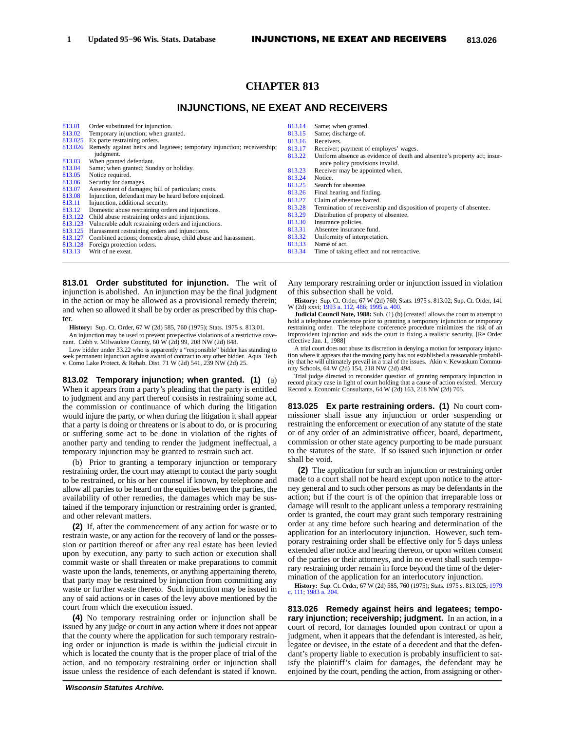# **CHAPTER 813**

# **INJUNCTIONS, NE EXEAT AND RECEIVERS**

| 813.01            | Order substituted for injunction.                                                                     | 813.14 | Same; when granted.                                                      |
|-------------------|-------------------------------------------------------------------------------------------------------|--------|--------------------------------------------------------------------------|
| 813.02            | Temporary injunction; when granted.                                                                   | 813.15 | Same; discharge of.                                                      |
| 813.025           | Ex parte restraining orders.                                                                          | 813.16 | Receivers.                                                               |
| 813.026           | Remedy against heirs and legatees; temporary injunction; receivership;                                | 813.17 | Receiver; payment of employes' wages.                                    |
|                   | judgment.                                                                                             | 813.22 | Uniform absence as evidence of death and absentee's property act; insur- |
| 813.03            | When granted defendant.                                                                               |        | ance policy provisions invalid.                                          |
| 813.04            | Same; when granted; Sunday or holiday.                                                                | 813.23 | Receiver may be appointed when.                                          |
| 813.05            | Notice required.                                                                                      | 813.24 | Notice.                                                                  |
| 813.06            | Security for damages.                                                                                 | 813.25 | Search for absentee.                                                     |
| 813.07            | Assessment of damages; bill of particulars; costs.                                                    | 813.26 | Final hearing and finding.                                               |
| 813.08            | Injunction, defendant may be heard before enjoined.                                                   | 813.27 | Claim of absentee barred.                                                |
| 813.11            | Injunction, additional security.                                                                      | 813.28 | Termination of receivership and disposition of property of absentee.     |
| 813.12<br>813.122 | Domestic abuse restraining orders and injunctions.<br>Child abuse restraining orders and injunctions. | 813.29 | Distribution of property of absentee.                                    |
| 813.123           | Vulnerable adult restraining orders and injunctions.                                                  | 813.30 | Insurance policies.                                                      |
| 813.125           | Harassment restraining orders and injunctions.                                                        | 813.31 | Absentee insurance fund.                                                 |
| 813.127           | Combined actions; domestic abuse, child abuse and harassment.                                         | 813.32 | Uniformity of interpretation.                                            |
| 813.128           | Foreign protection orders.                                                                            | 813.33 | Name of act.                                                             |
| 813.13            | Writ of ne exeat.                                                                                     | 813.34 | Time of taking effect and not retroactive.                               |

**813.01 Order substituted for injunction.** The writ of injunction is abolished. An injunction may be the final judgment in the action or may be allowed as a provisional remedy therein; and when so allowed it shall be by order as prescribed by this chapter.

**History:** Sup. Ct. Order, 67 W (2d) 585, 760 (1975); Stats. 1975 s. 813.01.

An injunction may be used to prevent prospective violations of a restrictive cove-nant. Cobb v. Milwaukee County, 60 W (2d) 99, 208 NW (2d) 848.

Low bidder under 33.22 who is apparently a "responsible" bidder has standing to seek permanent injunction against award of contract to any other bidder. Aqua−Tech v. Como Lake Protect. & Rehab. Dist. 71 W (2d) 541, 239 NW (2d) 25.

**813.02 Temporary injunction; when granted. (1)** (a) When it appears from a party's pleading that the party is entitled to judgment and any part thereof consists in restraining some act, the commission or continuance of which during the litigation would injure the party, or when during the litigation it shall appear that a party is doing or threatens or is about to do, or is procuring or suffering some act to be done in violation of the rights of another party and tending to render the judgment ineffectual, a temporary injunction may be granted to restrain such act.

(b) Prior to granting a temporary injunction or temporary restraining order, the court may attempt to contact the party sought to be restrained, or his or her counsel if known, by telephone and allow all parties to be heard on the equities between the parties, the availability of other remedies, the damages which may be sustained if the temporary injunction or restraining order is granted, and other relevant matters.

**(2)** If, after the commencement of any action for waste or to restrain waste, or any action for the recovery of land or the possession or partition thereof or after any real estate has been levied upon by execution, any party to such action or execution shall commit waste or shall threaten or make preparations to commit waste upon the lands, tenements, or anything appertaining thereto, that party may be restrained by injunction from committing any waste or further waste thereto. Such injunction may be issued in any of said actions or in cases of the levy above mentioned by the court from which the execution issued.

**(4)** No temporary restraining order or injunction shall be issued by any judge or court in any action where it does not appear that the county where the application for such temporary restraining order or injunction is made is within the judicial circuit in which is located the county that is the proper place of trial of the action, and no temporary restraining order or injunction shall issue unless the residence of each defendant is stated if known.

Any temporary restraining order or injunction issued in violation of this subsection shall be void.

**History:** Sup. Ct. Order, 67 W (2d) 760; Stats. 1975 s. 813.02; Sup. Ct. Order, 141 W (2d) xxvi; [1993 a. 112,](https://docs.legis.wisconsin.gov/document/acts/1993/112) [486;](https://docs.legis.wisconsin.gov/document/acts/1993/486) [1995 a. 400.](https://docs.legis.wisconsin.gov/document/acts/1995/400)

**Judicial Council Note, 1988:** Sub. (1) (b) [created] allows the court to attempt to hold a telephone conference prior to granting a temporary injunction or temporary restraining order. The telephone conference procedure minimizes the risk of an improvident injunction and aids the court in fixing a realistic security. [Re Order effective Jan. 1, 1988]

A trial court does not abuse its discretion in denying a motion for temporary injunction where it appears that the moving party has not established a reasonable probability that he will ultimately prevail in a trial of the issues. Akin v. Kewaskum Commu-nity Schools, 64 W (2d) 154, 218 NW (2d) 494.

Trial judge directed to reconsider question of granting temporary injunction in record piracy case in light of court holding that a cause of action existed. Mercury Record v. Economic Consultants, 64 W (2d) 163, 218 NW (2d) 705.

**813.025 Ex parte restraining orders. (1)** No court commissioner shall issue any injunction or order suspending or restraining the enforcement or execution of any statute of the state or of any order of an administrative officer, board, department, commission or other state agency purporting to be made pursuant to the statutes of the state. If so issued such injunction or order shall be void.

**(2)** The application for such an injunction or restraining order made to a court shall not be heard except upon notice to the attorney general and to such other persons as may be defendants in the action; but if the court is of the opinion that irreparable loss or damage will result to the applicant unless a temporary restraining order is granted, the court may grant such temporary restraining order at any time before such hearing and determination of the application for an interlocutory injunction. However, such temporary restraining order shall be effective only for 5 days unless extended after notice and hearing thereon, or upon written consent of the parties or their attorneys, and in no event shall such temporary restraining order remain in force beyond the time of the determination of the application for an interlocutory injunction.

**History:** Sup. Ct. Order, 67 W (2d) 585, 760 (1975); Stats. 1975 s. 813.025; [1979](https://docs.legis.wisconsin.gov/document/acts/1979/111) [c. 111;](https://docs.legis.wisconsin.gov/document/acts/1979/111) [1983 a. 204](https://docs.legis.wisconsin.gov/document/acts/1983/204).

**813.026 Remedy against heirs and legatees; temporary injunction; receivership; judgment.** In an action, in a court of record, for damages founded upon contract or upon a judgment, when it appears that the defendant is interested, as heir, legatee or devisee, in the estate of a decedent and that the defendant's property liable to execution is probably insufficient to satisfy the plaintiff's claim for damages, the defendant may be enjoined by the court, pending the action, from assigning or other-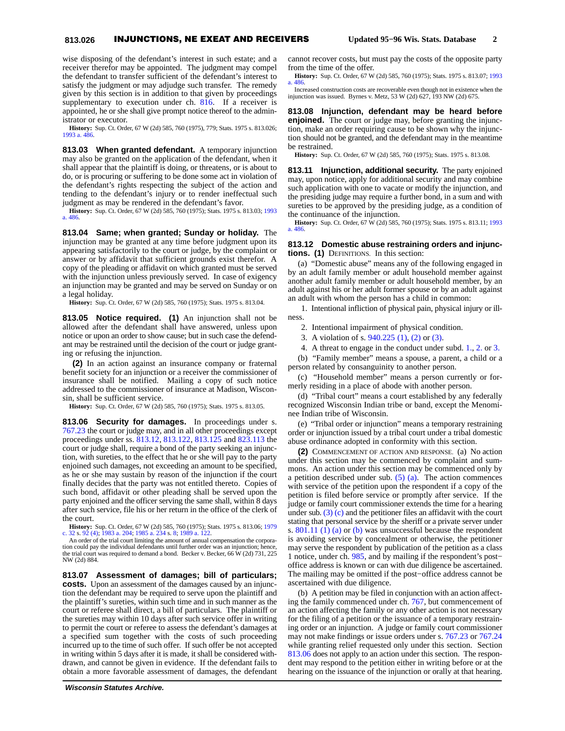### **813.026** INJUNCTIONS, NE EXEAT AND RECEIVERS **Updated 95−96 Wis. Stats. Database 2**

wise disposing of the defendant's interest in such estate; and a receiver therefor may be appointed. The judgment may compel the defendant to transfer sufficient of the defendant's interest to satisfy the judgment or may adjudge such transfer. The remedy given by this section is in addition to that given by proceedings supplementary to execution under ch. [816.](https://docs.legis.wisconsin.gov/document/statutes/1995/ch.%20816) If a receiver is appointed, he or she shall give prompt notice thereof to the administrator or executor.

**History:** Sup. Ct. Order, 67 W (2d) 585, 760 (1975), 779; Stats. 1975 s. 813.026; [1993 a. 486.](https://docs.legis.wisconsin.gov/document/acts/1993/486)

**813.03 When granted defendant.** A temporary injunction may also be granted on the application of the defendant, when it shall appear that the plaintiff is doing, or threatens, or is about to do, or is procuring or suffering to be done some act in violation of the defendant's rights respecting the subject of the action and tending to the defendant's injury or to render ineffectual such judgment as may be rendered in the defendant's favor.

**History:** Sup. Ct. Order, 67 W (2d) 585, 760 (1975); Stats. 1975 s. 813.03; [1993](https://docs.legis.wisconsin.gov/document/acts/1993/486) [a. 486.](https://docs.legis.wisconsin.gov/document/acts/1993/486)

**813.04 Same; when granted; Sunday or holiday.** The injunction may be granted at any time before judgment upon its appearing satisfactorily to the court or judge, by the complaint or answer or by affidavit that sufficient grounds exist therefor. A copy of the pleading or affidavit on which granted must be served with the injunction unless previously served. In case of exigency an injunction may be granted and may be served on Sunday or on a legal holiday.

**History:** Sup. Ct. Order, 67 W (2d) 585, 760 (1975); Stats. 1975 s. 813.04.

**813.05 Notice required. (1)** An injunction shall not be allowed after the defendant shall have answered, unless upon notice or upon an order to show cause; but in such case the defendant may be restrained until the decision of the court or judge granting or refusing the injunction.

**(2)** In an action against an insurance company or fraternal benefit society for an injunction or a receiver the commissioner of insurance shall be notified. Mailing a copy of such notice addressed to the commissioner of insurance at Madison, Wisconsin, shall be sufficient service.

**History:** Sup. Ct. Order, 67 W (2d) 585, 760 (1975); Stats. 1975 s. 813.05.

**813.06 Security for damages.** In proceedings under s. [767.23](https://docs.legis.wisconsin.gov/document/statutes/1995/767.23) the court or judge may, and in all other proceedings except proceedings under ss. [813.12,](https://docs.legis.wisconsin.gov/document/statutes/1995/813.12) [813.122,](https://docs.legis.wisconsin.gov/document/statutes/1995/813.122) [813.125](https://docs.legis.wisconsin.gov/document/statutes/1995/813.125) and [823.113](https://docs.legis.wisconsin.gov/document/statutes/1995/823.113) the court or judge shall, require a bond of the party seeking an injunction, with sureties, to the effect that he or she will pay to the party enjoined such damages, not exceeding an amount to be specified, as he or she may sustain by reason of the injunction if the court finally decides that the party was not entitled thereto. Copies of such bond, affidavit or other pleading shall be served upon the party enjoined and the officer serving the same shall, within 8 days after such service, file his or her return in the office of the clerk of the court.

**History:** Sup. Ct. Order, 67 W (2d) 585, 760 (1975); Stats. 1975 s. 813.06; [1979](https://docs.legis.wisconsin.gov/document/acts/1979/32) [c. 32](https://docs.legis.wisconsin.gov/document/acts/1979/32) s. [92 \(4\)](https://docs.legis.wisconsin.gov/document/acts/1979/32,%20s.%2092); [1983 a. 204](https://docs.legis.wisconsin.gov/document/acts/1983/204); [1985 a. 234](https://docs.legis.wisconsin.gov/document/acts/1985/234) s. [8](https://docs.legis.wisconsin.gov/document/acts/1985/234,%20s.%208); [1989 a. 122.](https://docs.legis.wisconsin.gov/document/acts/1989/122)

An order of the trial court limiting the amount of annual compensation the corporation could pay the individual defendants until further order was an injunction; hence, the trial court was required to demand a bond. Becker v. Becker, 66 W (2d) 731, 225 NW (2d) 884.

**813.07 Assessment of damages; bill of particulars; costs.** Upon an assessment of the damages caused by an injunction the defendant may be required to serve upon the plaintiff and the plaintiff's sureties, within such time and in such manner as the court or referee shall direct, a bill of particulars. The plaintiff or the sureties may within 10 days after such service offer in writing to permit the court or referee to assess the defendant's damages at a specified sum together with the costs of such proceeding incurred up to the time of such offer. If such offer be not accepted in writing within 5 days after it is made, it shall be considered withdrawn, and cannot be given in evidence. If the defendant fails to obtain a more favorable assessment of damages, the defendant

cannot recover costs, but must pay the costs of the opposite party from the time of the offer.

**History:** Sup. Ct. Order, 67 W (2d) 585, 760 (1975); Stats. 1975 s. 813.07; [1993](https://docs.legis.wisconsin.gov/document/acts/1993/486) [a. 486](https://docs.legis.wisconsin.gov/document/acts/1993/486).

Increased construction costs are recoverable even though not in existence when the injunction was issued. Byrnes v. Metz, 53 W (2d) 627, 193 NW (2d) 675.

**813.08 Injunction, defendant may be heard before enjoined.** The court or judge may, before granting the injunction, make an order requiring cause to be shown why the injunction should not be granted, and the defendant may in the meantime be restrained.

**History:** Sup. Ct. Order, 67 W (2d) 585, 760 (1975); Stats. 1975 s. 813.08.

**813.11 Injunction, additional security.** The party enjoined may, upon notice, apply for additional security and may combine such application with one to vacate or modify the injunction, and the presiding judge may require a further bond, in a sum and with sureties to be approved by the presiding judge, as a condition of the continuance of the injunction.

**History:** Sup. Ct. Order, 67 W (2d) 585, 760 (1975); Stats. 1975 s. 813.11; [1993](https://docs.legis.wisconsin.gov/document/acts/1993/486) [a. 486](https://docs.legis.wisconsin.gov/document/acts/1993/486).

#### **813.12 Domestic abuse restraining orders and injunctions. (1)** DEFINITIONS. In this section:

(a) "Domestic abuse" means any of the following engaged in by an adult family member or adult household member against another adult family member or adult household member, by an adult against his or her adult former spouse or by an adult against an adult with whom the person has a child in common:

1. Intentional infliction of physical pain, physical injury or illness.

2. Intentional impairment of physical condition.

3. A violation of s. [940.225 \(1\)](https://docs.legis.wisconsin.gov/document/statutes/1995/940.225(1)), [\(2\)](https://docs.legis.wisconsin.gov/document/statutes/1995/940.225(2)) or [\(3\).](https://docs.legis.wisconsin.gov/document/statutes/1995/940.225(3))

4. A threat to engage in the conduct under subd. [1.,](https://docs.legis.wisconsin.gov/document/statutes/1995/813.12(1)(a)1.) [2.](https://docs.legis.wisconsin.gov/document/statutes/1995/813.12(1)(a)2.) or [3.](https://docs.legis.wisconsin.gov/document/statutes/1995/813.12(1)(a)3.)

(b) "Family member" means a spouse, a parent, a child or a person related by consanguinity to another person.

(c) "Household member" means a person currently or formerly residing in a place of abode with another person.

(d) "Tribal court" means a court established by any federally recognized Wisconsin Indian tribe or band, except the Menominee Indian tribe of Wisconsin.

(e) "Tribal order or injunction" means a temporary restraining order or injunction issued by a tribal court under a tribal domestic abuse ordinance adopted in conformity with this section.

**(2)** COMMENCEMENT OF ACTION AND RESPONSE. (a) No action under this section may be commenced by complaint and summons. An action under this section may be commenced only by a petition described under sub.  $(5)$  (a). The action commences with service of the petition upon the respondent if a copy of the petition is filed before service or promptly after service. If the judge or family court commissioner extends the time for a hearing under sub. [\(3\) \(c\)](https://docs.legis.wisconsin.gov/document/statutes/1995/813.12(3)(c)) and the petitioner files an affidavit with the court stating that personal service by the sheriff or a private server under s. [801.11 \(1\) \(a\)](https://docs.legis.wisconsin.gov/document/statutes/1995/801.11(1)(a)) or [\(b\)](https://docs.legis.wisconsin.gov/document/statutes/1995/801.11(1)(b)) was unsuccessful because the respondent is avoiding service by concealment or otherwise, the petitioner may serve the respondent by publication of the petition as a class 1 notice, under ch. [985,](https://docs.legis.wisconsin.gov/document/statutes/1995/ch.%20985) and by mailing if the respondent's post− office address is known or can with due diligence be ascertained. The mailing may be omitted if the post−office address cannot be ascertained with due diligence.

(b) A petition may be filed in conjunction with an action affecting the family commenced under ch. [767,](https://docs.legis.wisconsin.gov/document/statutes/1995/ch.%20767) but commencement of an action affecting the family or any other action is not necessary for the filing of a petition or the issuance of a temporary restraining order or an injunction. A judge or family court commissioner may not make findings or issue orders under s. [767.23](https://docs.legis.wisconsin.gov/document/statutes/1995/767.23) or [767.24](https://docs.legis.wisconsin.gov/document/statutes/1995/767.24) while granting relief requested only under this section. Section [813.06](https://docs.legis.wisconsin.gov/document/statutes/1995/813.06) does not apply to an action under this section. The respondent may respond to the petition either in writing before or at the hearing on the issuance of the injunction or orally at that hearing.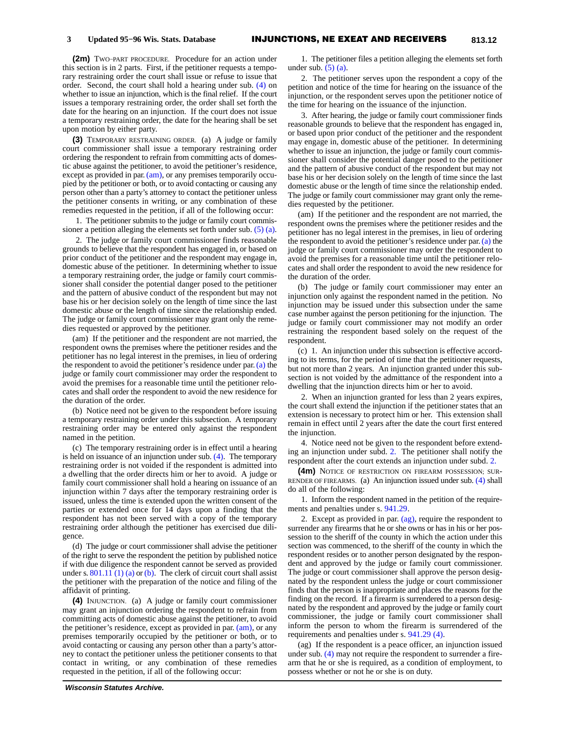**(2m)** TWO−PART PROCEDURE. Procedure for an action under this section is in 2 parts. First, if the petitioner requests a temporary restraining order the court shall issue or refuse to issue that order. Second, the court shall hold a hearing under sub. [\(4\)](https://docs.legis.wisconsin.gov/document/statutes/1995/813.12(4)) on whether to issue an injunction, which is the final relief. If the court issues a temporary restraining order, the order shall set forth the date for the hearing on an injunction. If the court does not issue a temporary restraining order, the date for the hearing shall be set upon motion by either party.

**(3)** TEMPORARY RESTRAINING ORDER. (a) A judge or family court commissioner shall issue a temporary restraining order ordering the respondent to refrain from committing acts of domestic abuse against the petitioner, to avoid the petitioner's residence, except as provided in par. [\(am\),](https://docs.legis.wisconsin.gov/document/statutes/1995/813.12(3)(am)) or any premises temporarily occupied by the petitioner or both, or to avoid contacting or causing any person other than a party's attorney to contact the petitioner unless the petitioner consents in writing, or any combination of these remedies requested in the petition, if all of the following occur:

1. The petitioner submits to the judge or family court commissioner a petition alleging the elements set forth under sub. [\(5\) \(a\).](https://docs.legis.wisconsin.gov/document/statutes/1995/813.12(5)(a))

2. The judge or family court commissioner finds reasonable grounds to believe that the respondent has engaged in, or based on prior conduct of the petitioner and the respondent may engage in, domestic abuse of the petitioner. In determining whether to issue a temporary restraining order, the judge or family court commissioner shall consider the potential danger posed to the petitioner and the pattern of abusive conduct of the respondent but may not base his or her decision solely on the length of time since the last domestic abuse or the length of time since the relationship ended. The judge or family court commissioner may grant only the remedies requested or approved by the petitioner.

(am) If the petitioner and the respondent are not married, the respondent owns the premises where the petitioner resides and the petitioner has no legal interest in the premises, in lieu of ordering the respondent to avoid the petitioner's residence under par. [\(a\)](https://docs.legis.wisconsin.gov/document/statutes/1995/813.12(3)(a)) the judge or family court commissioner may order the respondent to avoid the premises for a reasonable time until the petitioner relocates and shall order the respondent to avoid the new residence for the duration of the order.

(b) Notice need not be given to the respondent before issuing a temporary restraining order under this subsection. A temporary restraining order may be entered only against the respondent named in the petition.

(c) The temporary restraining order is in effect until a hearing is held on issuance of an injunction under sub. [\(4\)](https://docs.legis.wisconsin.gov/document/statutes/1995/813.12(4)). The temporary restraining order is not voided if the respondent is admitted into a dwelling that the order directs him or her to avoid. A judge or family court commissioner shall hold a hearing on issuance of an injunction within 7 days after the temporary restraining order is issued, unless the time is extended upon the written consent of the parties or extended once for 14 days upon a finding that the respondent has not been served with a copy of the temporary restraining order although the petitioner has exercised due diligence.

(d) The judge or court commissioner shall advise the petitioner of the right to serve the respondent the petition by published notice if with due diligence the respondent cannot be served as provided under s.  $801.11(1)$  (a) or [\(b\)](https://docs.legis.wisconsin.gov/document/statutes/1995/801.11(1)(b)). The clerk of circuit court shall assist the petitioner with the preparation of the notice and filing of the affidavit of printing.

**(4)** INJUNCTION. (a) A judge or family court commissioner may grant an injunction ordering the respondent to refrain from committing acts of domestic abuse against the petitioner, to avoid the petitioner's residence, except as provided in par. [\(am\)](https://docs.legis.wisconsin.gov/document/statutes/1995/813.12(4)(am)), or any premises temporarily occupied by the petitioner or both, or to avoid contacting or causing any person other than a party's attorney to contact the petitioner unless the petitioner consents to that contact in writing, or any combination of these remedies requested in the petition, if all of the following occur:

1. The petitioner files a petition alleging the elements set forth under sub.  $(5)$  (a).

2. The petitioner serves upon the respondent a copy of the petition and notice of the time for hearing on the issuance of the injunction, or the respondent serves upon the petitioner notice of the time for hearing on the issuance of the injunction.

3. After hearing, the judge or family court commissioner finds reasonable grounds to believe that the respondent has engaged in, or based upon prior conduct of the petitioner and the respondent may engage in, domestic abuse of the petitioner. In determining whether to issue an injunction, the judge or family court commissioner shall consider the potential danger posed to the petitioner and the pattern of abusive conduct of the respondent but may not base his or her decision solely on the length of time since the last domestic abuse or the length of time since the relationship ended. The judge or family court commissioner may grant only the remedies requested by the petitioner.

(am) If the petitioner and the respondent are not married, the respondent owns the premises where the petitioner resides and the petitioner has no legal interest in the premises, in lieu of ordering the respondent to avoid the petitioner's residence under par. [\(a\)](https://docs.legis.wisconsin.gov/document/statutes/1995/813.12(4)(a)) the judge or family court commissioner may order the respondent to avoid the premises for a reasonable time until the petitioner relocates and shall order the respondent to avoid the new residence for the duration of the order.

(b) The judge or family court commissioner may enter an injunction only against the respondent named in the petition. No injunction may be issued under this subsection under the same case number against the person petitioning for the injunction. The judge or family court commissioner may not modify an order restraining the respondent based solely on the request of the respondent.

(c) 1. An injunction under this subsection is effective according to its terms, for the period of time that the petitioner requests, but not more than 2 years. An injunction granted under this subsection is not voided by the admittance of the respondent into a dwelling that the injunction directs him or her to avoid.

2. When an injunction granted for less than 2 years expires, the court shall extend the injunction if the petitioner states that an extension is necessary to protect him or her. This extension shall remain in effect until 2 years after the date the court first entered the injunction.

4. Notice need not be given to the respondent before extending an injunction under subd. [2.](https://docs.legis.wisconsin.gov/document/statutes/1995/813.12(4)(c)2.) The petitioner shall notify the respondent after the court extends an injunction under subd. [2.](https://docs.legis.wisconsin.gov/document/statutes/1995/813.12(4)(c)2.)

**(4m)** NOTICE OF RESTRICTION ON FIREARM POSSESSION; SUR-RENDER OF FIREARMS. (a) An injunction issued under sub. [\(4\)](https://docs.legis.wisconsin.gov/document/statutes/1995/813.12(4)) shall do all of the following:

1. Inform the respondent named in the petition of the requirements and penalties under s. [941.29.](https://docs.legis.wisconsin.gov/document/statutes/1995/941.29)

2. Except as provided in par.  $\left(\frac{ag}{g}\right)$ , require the respondent to surrender any firearms that he or she owns or has in his or her possession to the sheriff of the county in which the action under this section was commenced, to the sheriff of the county in which the respondent resides or to another person designated by the respondent and approved by the judge or family court commissioner. The judge or court commissioner shall approve the person designated by the respondent unless the judge or court commissioner finds that the person is inappropriate and places the reasons for the finding on the record. If a firearm is surrendered to a person designated by the respondent and approved by the judge or family court commissioner, the judge or family court commissioner shall inform the person to whom the firearm is surrendered of the requirements and penalties under s. [941.29 \(4\)](https://docs.legis.wisconsin.gov/document/statutes/1995/941.29(4)).

(ag) If the respondent is a peace officer, an injunction issued under sub. [\(4\)](https://docs.legis.wisconsin.gov/document/statutes/1995/813.12(4)) may not require the respondent to surrender a firearm that he or she is required, as a condition of employment, to possess whether or not he or she is on duty.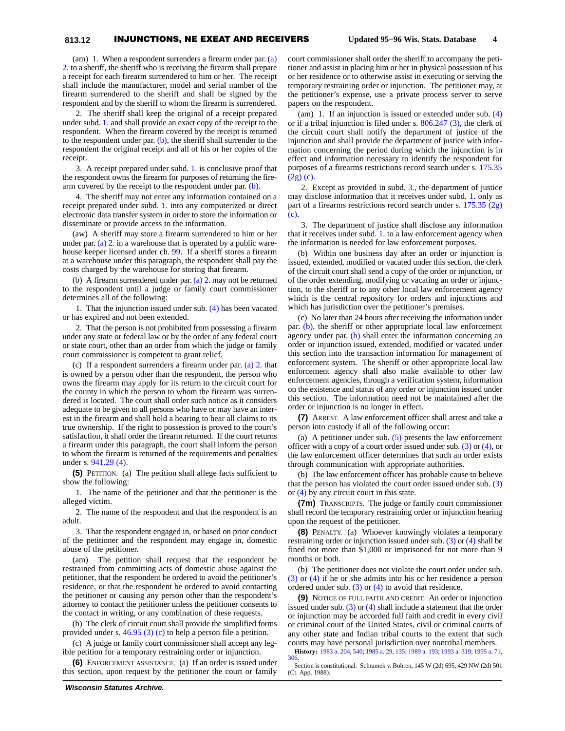## **813.12** INJUNCTIONS, NE EXEAT AND RECEIVERS **Updated 95−96 Wis. Stats. Database 4**

(am) 1. When a respondent surrenders a firearm under par. [\(a\)](https://docs.legis.wisconsin.gov/document/statutes/1995/813.12(4m)(a)2.) [2.](https://docs.legis.wisconsin.gov/document/statutes/1995/813.12(4m)(a)2.) to a sheriff, the sheriff who is receiving the firearm shall prepare a receipt for each firearm surrendered to him or her. The receipt shall include the manufacturer, model and serial number of the firearm surrendered to the sheriff and shall be signed by the respondent and by the sheriff to whom the firearm is surrendered.

2. The sheriff shall keep the original of a receipt prepared under subd. [1.](https://docs.legis.wisconsin.gov/document/statutes/1995/813.12(4m)(am)1.) and shall provide an exact copy of the receipt to the respondent. When the firearm covered by the receipt is returned to the respondent under par.  $(b)$ , the sheriff shall surrender to the respondent the original receipt and all of his or her copies of the receipt.

3. A receipt prepared under subd. [1.](https://docs.legis.wisconsin.gov/document/statutes/1995/813.12(4m)(am)1.) is conclusive proof that the respondent owns the firearm for purposes of returning the firearm covered by the receipt to the respondent under par. [\(b\)](https://docs.legis.wisconsin.gov/document/statutes/1995/813.12(4m)(b)).

4. The sheriff may not enter any information contained on a receipt prepared under subd. [1.](https://docs.legis.wisconsin.gov/document/statutes/1995/813.12(4m)(am)1.) into any computerized or direct electronic data transfer system in order to store the information or disseminate or provide access to the information.

(aw) A sheriff may store a firearm surrendered to him or her under par. [\(a\) 2.](https://docs.legis.wisconsin.gov/document/statutes/1995/813.12(4m)(a)2.) in a warehouse that is operated by a public warehouse keeper licensed under ch. [99.](https://docs.legis.wisconsin.gov/document/statutes/1995/ch.%2099) If a sheriff stores a firearm at a warehouse under this paragraph, the respondent shall pay the costs charged by the warehouse for storing that firearm.

(b) A firearm surrendered under par. [\(a\) 2.](https://docs.legis.wisconsin.gov/document/statutes/1995/813.12(4m)(a)2.) may not be returned to the respondent until a judge or family court commissioner determines all of the following:

1. That the injunction issued under sub. [\(4\)](https://docs.legis.wisconsin.gov/document/statutes/1995/813.12(4)) has been vacated or has expired and not been extended.

2. That the person is not prohibited from possessing a firearm under any state or federal law or by the order of any federal court or state court, other than an order from which the judge or family court commissioner is competent to grant relief.

(c) If a respondent surrenders a firearm under par. [\(a\) 2.](https://docs.legis.wisconsin.gov/document/statutes/1995/813.12(4m)(a)2.) that is owned by a person other than the respondent, the person who owns the firearm may apply for its return to the circuit court for the county in which the person to whom the firearm was surrendered is located. The court shall order such notice as it considers adequate to be given to all persons who have or may have an interest in the firearm and shall hold a hearing to hear all claims to its true ownership. If the right to possession is proved to the court's satisfaction, it shall order the firearm returned. If the court returns a firearm under this paragraph, the court shall inform the person to whom the firearm is returned of the requirements and penalties under s. [941.29 \(4\).](https://docs.legis.wisconsin.gov/document/statutes/1995/941.29(4))

**(5)** PETITION. (a) The petition shall allege facts sufficient to show the following:

1. The name of the petitioner and that the petitioner is the alleged victim.

2. The name of the respondent and that the respondent is an adult.

3. That the respondent engaged in, or based on prior conduct of the petitioner and the respondent may engage in, domestic abuse of the petitioner.

(am) The petition shall request that the respondent be restrained from committing acts of domestic abuse against the petitioner, that the respondent be ordered to avoid the petitioner's residence, or that the respondent be ordered to avoid contacting the petitioner or causing any person other than the respondent's attorney to contact the petitioner unless the petitioner consents to the contact in writing, or any combination of these requests.

(b) The clerk of circuit court shall provide the simplified forms provided under s. [46.95 \(3\) \(c\)](https://docs.legis.wisconsin.gov/document/statutes/1995/46.95(3)(c)) to help a person file a petition.

(c) A judge or family court commissioner shall accept any legible petition for a temporary restraining order or injunction.

**(6)** ENFORCEMENT ASSISTANCE. (a) If an order is issued under this section, upon request by the petitioner the court or family

(am) 1. If an injunction is issued or extended under sub. [\(4\)](https://docs.legis.wisconsin.gov/document/statutes/1995/813.12(4)) or if a tribal injunction is filed under s. [806.247 \(3\)](https://docs.legis.wisconsin.gov/document/statutes/1995/806.247(3)), the clerk of the circuit court shall notify the department of justice of the injunction and shall provide the department of justice with information concerning the period during which the injunction is in effect and information necessary to identify the respondent for purposes of a firearms restrictions record search under s. [175.35](https://docs.legis.wisconsin.gov/document/statutes/1995/175.35(2g)(c)) [\(2g\) \(c\).](https://docs.legis.wisconsin.gov/document/statutes/1995/175.35(2g)(c))

2. Except as provided in subd. [3.](https://docs.legis.wisconsin.gov/document/statutes/1995/813.12(6)(am)3.), the department of justice may disclose information that it receives under subd. [1.](https://docs.legis.wisconsin.gov/document/statutes/1995/813.12(6)(am)1.) only as part of a firearms restrictions record search under s. [175.35 \(2g\)](https://docs.legis.wisconsin.gov/document/statutes/1995/175.35(2g)(c)) [\(c\)](https://docs.legis.wisconsin.gov/document/statutes/1995/175.35(2g)(c)).

3. The department of justice shall disclose any information that it receives under subd. [1.](https://docs.legis.wisconsin.gov/document/statutes/1995/813.12(6)(am)1.) to a law enforcement agency when the information is needed for law enforcement purposes.

(b) Within one business day after an order or injunction is issued, extended, modified or vacated under this section, the clerk of the circuit court shall send a copy of the order or injunction, or of the order extending, modifying or vacating an order or injunction, to the sheriff or to any other local law enforcement agency which is the central repository for orders and injunctions and which has jurisdiction over the petitioner's premises.

(c) No later than 24 hours after receiving the information under par. [\(b\)](https://docs.legis.wisconsin.gov/document/statutes/1995/813.12(6)(b)), the sheriff or other appropriate local law enforcement agency under par. [\(b\)](https://docs.legis.wisconsin.gov/document/statutes/1995/813.12(6)(b)) shall enter the information concerning an order or injunction issued, extended, modified or vacated under this section into the transaction information for management of enforcement system. The sheriff or other appropriate local law enforcement agency shall also make available to other law enforcement agencies, through a verification system, information on the existence and status of any order or injunction issued under this section. The information need not be maintained after the order or injunction is no longer in effect.

**(7)** ARREST. A law enforcement officer shall arrest and take a person into custody if all of the following occur:

(a) A petitioner under sub. [\(5\)](https://docs.legis.wisconsin.gov/document/statutes/1995/813.12(5)) presents the law enforcement officer with a copy of a court order issued under sub. [\(3\)](https://docs.legis.wisconsin.gov/document/statutes/1995/813.12(3)) or [\(4\),](https://docs.legis.wisconsin.gov/document/statutes/1995/813.12(4)) or the law enforcement officer determines that such an order exists through communication with appropriate authorities.

(b) The law enforcement officer has probable cause to believe that the person has violated the court order issued under sub. [\(3\)](https://docs.legis.wisconsin.gov/document/statutes/1995/813.12(3)) or [\(4\)](https://docs.legis.wisconsin.gov/document/statutes/1995/813.12(4)) by any circuit court in this state.

**(7m)** TRANSCRIPTS. The judge or family court commissioner shall record the temporary restraining order or injunction hearing upon the request of the petitioner.

**(8)** PENALTY. (a) Whoever knowingly violates a temporary restraining order or injunction issued under sub. [\(3\)](https://docs.legis.wisconsin.gov/document/statutes/1995/813.12(3)) or [\(4\)](https://docs.legis.wisconsin.gov/document/statutes/1995/813.12(4)) shall be fined not more than \$1,000 or imprisoned for not more than 9 months or both.

(b) The petitioner does not violate the court order under sub. [\(3\)](https://docs.legis.wisconsin.gov/document/statutes/1995/813.12(3)) or [\(4\)](https://docs.legis.wisconsin.gov/document/statutes/1995/813.12(4)) if he or she admits into his or her residence a person ordered under sub.  $(3)$  or  $(4)$  to avoid that residence.

**(9)** NOTICE OF FULL FAITH AND CREDIT. An order or injunction issued under sub.  $(3)$  or  $(4)$  shall include a statement that the order or injunction may be accorded full faith and credit in every civil or criminal court of the United States, civil or criminal courts of any other state and Indian tribal courts to the extent that such courts may have personal jurisdiction over nontribal members.

**History:** [1983 a. 204](https://docs.legis.wisconsin.gov/document/acts/1983/204), [540](https://docs.legis.wisconsin.gov/document/acts/1983/540); [1985 a. 29](https://docs.legis.wisconsin.gov/document/acts/1985/29), [135](https://docs.legis.wisconsin.gov/document/acts/1985/135); [1989 a. 193;](https://docs.legis.wisconsin.gov/document/acts/1989/193) [1993 a. 319;](https://docs.legis.wisconsin.gov/document/acts/1993/319) [1995 a. 71,](https://docs.legis.wisconsin.gov/document/acts/1995/71) [306.](https://docs.legis.wisconsin.gov/document/acts/1995/306)

Section is constitutional. Schramek v. Bohren, 145 W (2d) 695, 429 NW (2d) 501 (Ct. App. 1988).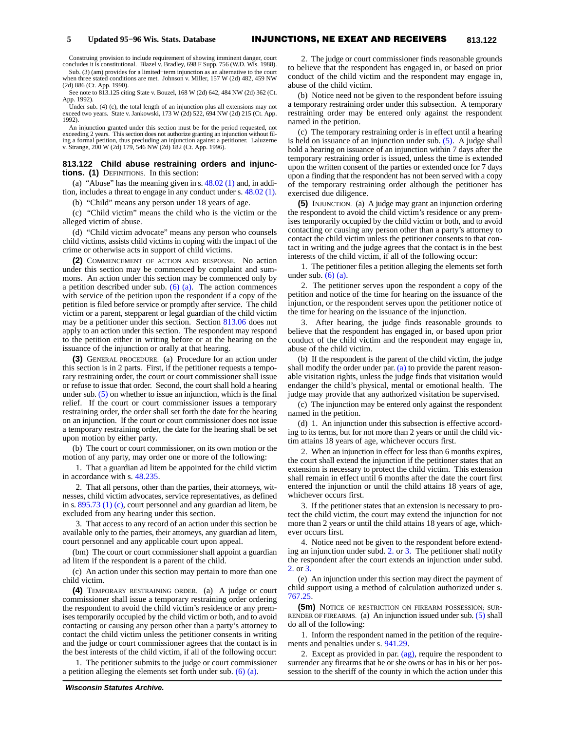Construing provision to include requirement of showing imminent danger, court concludes it is constitutional. Blazel v. Bradley, 698 F Supp. 756 (W.D. Wis. 1988).

Sub. (3) (am) provides for a limited−term injunction as an alternative to the court when three stated conditions are met. Johnson v. Miller, 157 W (2d) 482, 459 NW (2d) 886 (Ct. App. 1990).

See note to 813.125 citing State v. Bouzel, 168 W (2d) 642, 484 NW (2d) 362 (Ct. App. 1992).

Under sub. (4) (c), the total length of an injunction plus all extensions may not exceed two years. State v. Jankowski, 173 W (2d) 522, 694 NW (2d) 215 (Ct. App. 1992).

An injunction granted under this section must be for the period requested, not exceeding 2 years. This section does not authorize granting an injunction without filing a formal petition, thus precluding an injunction against a petitioner. Laluzerne v. Strange, 200 W (2d) 179, 546 NW (2d) 182 (Ct. App. 1996).

#### **813.122 Child abuse restraining orders and injunctions. (1)** DEFINITIONS. In this section:

(a) "Abuse" has the meaning given in s.  $48.02$  (1) and, in addition, includes a threat to engage in any conduct under s. [48.02 \(1\).](https://docs.legis.wisconsin.gov/document/statutes/1995/48.02(1))

(b) "Child" means any person under 18 years of age.

(c) "Child victim" means the child who is the victim or the alleged victim of abuse.

(d) "Child victim advocate" means any person who counsels child victims, assists child victims in coping with the impact of the crime or otherwise acts in support of child victims.

**(2)** COMMENCEMENT OF ACTION AND RESPONSE. No action under this section may be commenced by complaint and summons. An action under this section may be commenced only by a petition described under sub. [\(6\) \(a\).](https://docs.legis.wisconsin.gov/document/statutes/1995/813.122(6)(a)) The action commences with service of the petition upon the respondent if a copy of the petition is filed before service or promptly after service. The child victim or a parent, stepparent or legal guardian of the child victim may be a petitioner under this section. Section [813.06](https://docs.legis.wisconsin.gov/document/statutes/1995/813.06) does not apply to an action under this section. The respondent may respond to the petition either in writing before or at the hearing on the issuance of the injunction or orally at that hearing.

**(3)** GENERAL PROCEDURE. (a) Procedure for an action under this section is in 2 parts. First, if the petitioner requests a temporary restraining order, the court or court commissioner shall issue or refuse to issue that order. Second, the court shall hold a hearing under sub. [\(5\)](https://docs.legis.wisconsin.gov/document/statutes/1995/813.122(5)) on whether to issue an injunction, which is the final relief. If the court or court commissioner issues a temporary restraining order, the order shall set forth the date for the hearing on an injunction. If the court or court commissioner does not issue a temporary restraining order, the date for the hearing shall be set upon motion by either party.

(b) The court or court commissioner, on its own motion or the motion of any party, may order one or more of the following:

1. That a guardian ad litem be appointed for the child victim in accordance with s. [48.235](https://docs.legis.wisconsin.gov/document/statutes/1995/48.235).

2. That all persons, other than the parties, their attorneys, witnesses, child victim advocates, service representatives, as defined in s. [895.73 \(1\) \(c\),](https://docs.legis.wisconsin.gov/document/statutes/1995/895.73(1)(c)) court personnel and any guardian ad litem, be excluded from any hearing under this section.

3. That access to any record of an action under this section be available only to the parties, their attorneys, any guardian ad litem, court personnel and any applicable court upon appeal.

(bm) The court or court commissioner shall appoint a guardian ad litem if the respondent is a parent of the child.

(c) An action under this section may pertain to more than one child victim.

**(4)** TEMPORARY RESTRAINING ORDER. (a) A judge or court commissioner shall issue a temporary restraining order ordering the respondent to avoid the child victim's residence or any premises temporarily occupied by the child victim or both, and to avoid contacting or causing any person other than a party's attorney to contact the child victim unless the petitioner consents in writing and the judge or court commissioner agrees that the contact is in the best interests of the child victim, if all of the following occur:

1. The petitioner submits to the judge or court commissioner a petition alleging the elements set forth under sub. [\(6\) \(a\)](https://docs.legis.wisconsin.gov/document/statutes/1995/813.122(6)(a)).

2. The judge or court commissioner finds reasonable grounds to believe that the respondent has engaged in, or based on prior conduct of the child victim and the respondent may engage in, abuse of the child victim.

(b) Notice need not be given to the respondent before issuing a temporary restraining order under this subsection. A temporary restraining order may be entered only against the respondent named in the petition.

(c) The temporary restraining order is in effect until a hearing is held on issuance of an injunction under sub. [\(5\).](https://docs.legis.wisconsin.gov/document/statutes/1995/813.122(5)) A judge shall hold a hearing on issuance of an injunction within 7 days after the temporary restraining order is issued, unless the time is extended upon the written consent of the parties or extended once for 7 days upon a finding that the respondent has not been served with a copy of the temporary restraining order although the petitioner has exercised due diligence.

**(5)** INJUNCTION. (a) A judge may grant an injunction ordering the respondent to avoid the child victim's residence or any premises temporarily occupied by the child victim or both, and to avoid contacting or causing any person other than a party's attorney to contact the child victim unless the petitioner consents to that contact in writing and the judge agrees that the contact is in the best interests of the child victim, if all of the following occur:

1. The petitioner files a petition alleging the elements set forth under sub.  $(6)$   $(a)$ .

2. The petitioner serves upon the respondent a copy of the petition and notice of the time for hearing on the issuance of the injunction, or the respondent serves upon the petitioner notice of the time for hearing on the issuance of the injunction.

3. After hearing, the judge finds reasonable grounds to believe that the respondent has engaged in, or based upon prior conduct of the child victim and the respondent may engage in, abuse of the child victim.

(b) If the respondent is the parent of the child victim, the judge shall modify the order under par. [\(a\)](https://docs.legis.wisconsin.gov/document/statutes/1995/813.122(5)(a)) to provide the parent reasonable visitation rights, unless the judge finds that visitation would endanger the child's physical, mental or emotional health. The judge may provide that any authorized visitation be supervised.

(c) The injunction may be entered only against the respondent named in the petition.

(d) 1. An injunction under this subsection is effective according to its terms, but for not more than 2 years or until the child victim attains 18 years of age, whichever occurs first.

2. When an injunction in effect for less than 6 months expires, the court shall extend the injunction if the petitioner states that an extension is necessary to protect the child victim. This extension shall remain in effect until 6 months after the date the court first entered the injunction or until the child attains 18 years of age, whichever occurs first.

3. If the petitioner states that an extension is necessary to protect the child victim, the court may extend the injunction for not more than 2 years or until the child attains 18 years of age, whichever occurs first.

4. Notice need not be given to the respondent before extending an injunction under subd. [2.](https://docs.legis.wisconsin.gov/document/statutes/1995/813.122(5)(d)2.) or [3.](https://docs.legis.wisconsin.gov/document/statutes/1995/813.122(5)(d)3.) The petitioner shall notify the respondent after the court extends an injunction under subd. [2.](https://docs.legis.wisconsin.gov/document/statutes/1995/813.122(5)(d)2.) or [3.](https://docs.legis.wisconsin.gov/document/statutes/1995/813.122(5)(d)3.)

(e) An injunction under this section may direct the payment of child support using a method of calculation authorized under s. [767.25](https://docs.legis.wisconsin.gov/document/statutes/1995/767.25).

**(5m)** NOTICE OF RESTRICTION ON FIREARM POSSESSION; SUR-RENDER OF FIREARMS. (a) An injunction issued under sub. [\(5\)](https://docs.legis.wisconsin.gov/document/statutes/1995/813.122(5)) shall do all of the following:

1. Inform the respondent named in the petition of the requirements and penalties under s. [941.29.](https://docs.legis.wisconsin.gov/document/statutes/1995/941.29)

2. Except as provided in par. [\(ag\)](https://docs.legis.wisconsin.gov/document/statutes/1995/813.122(5m)(ag)), require the respondent to surrender any firearms that he or she owns or has in his or her possession to the sheriff of the county in which the action under this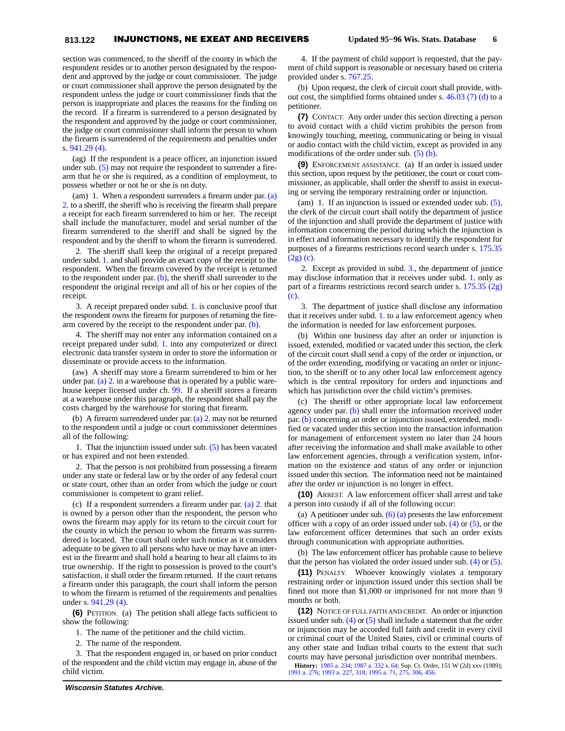section was commenced, to the sheriff of the county in which the respondent resides or to another person designated by the respondent and approved by the judge or court commissioner. The judge or court commissioner shall approve the person designated by the respondent unless the judge or court commissioner finds that the person is inappropriate and places the reasons for the finding on the record. If a firearm is surrendered to a person designated by the respondent and approved by the judge or court commissioner, the judge or court commissioner shall inform the person to whom the firearm is surrendered of the requirements and penalties under s. [941.29 \(4\).](https://docs.legis.wisconsin.gov/document/statutes/1995/941.29(4))

(ag) If the respondent is a peace officer, an injunction issued under sub. [\(5\)](https://docs.legis.wisconsin.gov/document/statutes/1995/813.122(5)) may not require the respondent to surrender a firearm that he or she is required, as a condition of employment, to possess whether or not he or she is on duty.

(am) 1. When a respondent surrenders a firearm under par. [\(a\)](https://docs.legis.wisconsin.gov/document/statutes/1995/813.122(5m)(a)2.) [2.](https://docs.legis.wisconsin.gov/document/statutes/1995/813.122(5m)(a)2.) to a sheriff, the sheriff who is receiving the firearm shall prepare a receipt for each firearm surrendered to him or her. The receipt shall include the manufacturer, model and serial number of the firearm surrendered to the sheriff and shall be signed by the respondent and by the sheriff to whom the firearm is surrendered.

2. The sheriff shall keep the original of a receipt prepared under subd. [1.](https://docs.legis.wisconsin.gov/document/statutes/1995/813.122(5m)(am)1.) and shall provide an exact copy of the receipt to the respondent. When the firearm covered by the receipt is returned to the respondent under par.  $(b)$ , the sheriff shall surrender to the respondent the original receipt and all of his or her copies of the receipt.

3. A receipt prepared under subd. [1.](https://docs.legis.wisconsin.gov/document/statutes/1995/813.122(5m)(am)1.) is conclusive proof that the respondent owns the firearm for purposes of returning the firearm covered by the receipt to the respondent under par. [\(b\)](https://docs.legis.wisconsin.gov/document/statutes/1995/813.122(5m)(b)).

4. The sheriff may not enter any information contained on a receipt prepared under subd. [1.](https://docs.legis.wisconsin.gov/document/statutes/1995/813.122(5m)(am)1.) into any computerized or direct electronic data transfer system in order to store the information or disseminate or provide access to the information.

(aw) A sheriff may store a firearm surrendered to him or her under par. [\(a\) 2.](https://docs.legis.wisconsin.gov/document/statutes/1995/813.122(5m)(a)2.) in a warehouse that is operated by a public warehouse keeper licensed under ch. [99.](https://docs.legis.wisconsin.gov/document/statutes/1995/ch.%2099) If a sheriff stores a firearm at a warehouse under this paragraph, the respondent shall pay the costs charged by the warehouse for storing that firearm.

(b) A firearm surrendered under par. [\(a\) 2.](https://docs.legis.wisconsin.gov/document/statutes/1995/813.122(5m)(a)2.) may not be returned to the respondent until a judge or court commissioner determines all of the following:

1. That the injunction issued under sub. [\(5\)](https://docs.legis.wisconsin.gov/document/statutes/1995/813.122(5)) has been vacated or has expired and not been extended.

2. That the person is not prohibited from possessing a firearm under any state or federal law or by the order of any federal court or state court, other than an order from which the judge or court commissioner is competent to grant relief.

(c) If a respondent surrenders a firearm under par. [\(a\) 2.](https://docs.legis.wisconsin.gov/document/statutes/1995/813.122(5m)(a)2.) that is owned by a person other than the respondent, the person who owns the firearm may apply for its return to the circuit court for the county in which the person to whom the firearm was surrendered is located. The court shall order such notice as it considers adequate to be given to all persons who have or may have an interest in the firearm and shall hold a hearing to hear all claims to its true ownership. If the right to possession is proved to the court's satisfaction, it shall order the firearm returned. If the court returns a firearm under this paragraph, the court shall inform the person to whom the firearm is returned of the requirements and penalties under s. [941.29 \(4\).](https://docs.legis.wisconsin.gov/document/statutes/1995/941.29(4))

**(6)** PETITION. (a) The petition shall allege facts sufficient to show the following:

1. The name of the petitioner and the child victim.

2. The name of the respondent.

3. That the respondent engaged in, or based on prior conduct of the respondent and the child victim may engage in, abuse of the child victim.

(b) Upon request, the clerk of circuit court shall provide, without cost, the simplified forms obtained under s.  $46.03$  (7) (d) to a petitioner.

**(7)** CONTACT. Any order under this section directing a person to avoid contact with a child victim prohibits the person from knowingly touching, meeting, communicating or being in visual or audio contact with the child victim, except as provided in any modifications of the order under sub. [\(5\) \(b\)](https://docs.legis.wisconsin.gov/document/statutes/1995/813.122(5)(b)).

**(9)** ENFORCEMENT ASSISTANCE. (a) If an order is issued under this section, upon request by the petitioner, the court or court commissioner, as applicable, shall order the sheriff to assist in executing or serving the temporary restraining order or injunction.

(am) 1. If an injunction is issued or extended under sub. [\(5\)](https://docs.legis.wisconsin.gov/document/statutes/1995/813.122(5)), the clerk of the circuit court shall notify the department of justice of the injunction and shall provide the department of justice with information concerning the period during which the injunction is in effect and information necessary to identify the respondent for purposes of a firearms restrictions record search under s. [175.35](https://docs.legis.wisconsin.gov/document/statutes/1995/175.35(2g)(c)) [\(2g\) \(c\).](https://docs.legis.wisconsin.gov/document/statutes/1995/175.35(2g)(c))

2. Except as provided in subd. [3.](https://docs.legis.wisconsin.gov/document/statutes/1995/813.122(9)(am)3.), the department of justice may disclose information that it receives under subd. [1.](https://docs.legis.wisconsin.gov/document/statutes/1995/813.122(9)(am)1.) only as part of a firearms restrictions record search under s. [175.35 \(2g\)](https://docs.legis.wisconsin.gov/document/statutes/1995/175.35(2g)(c)) [\(c\)](https://docs.legis.wisconsin.gov/document/statutes/1995/175.35(2g)(c)).

3. The department of justice shall disclose any information that it receives under subd. [1.](https://docs.legis.wisconsin.gov/document/statutes/1995/813.122(9)(am)1.) to a law enforcement agency when the information is needed for law enforcement purposes.

(b) Within one business day after an order or injunction is issued, extended, modified or vacated under this section, the clerk of the circuit court shall send a copy of the order or injunction, or of the order extending, modifying or vacating an order or injunction, to the sheriff or to any other local law enforcement agency which is the central repository for orders and injunctions and which has jurisdiction over the child victim's premises.

(c) The sheriff or other appropriate local law enforcement agency under par. [\(b\)](https://docs.legis.wisconsin.gov/document/statutes/1995/813.122(9)(b)) shall enter the information received under par. [\(b\)](https://docs.legis.wisconsin.gov/document/statutes/1995/813.122(9)(b)) concerning an order or injunction issued, extended, modified or vacated under this section into the transaction information for management of enforcement system no later than 24 hours after receiving the information and shall make available to other law enforcement agencies, through a verification system, information on the existence and status of any order or injunction issued under this section. The information need not be maintained after the order or injunction is no longer in effect.

**(10)** ARREST. A law enforcement officer shall arrest and take a person into custody if all of the following occur:

(a) A petitioner under sub.  $(6)$  (a) presents the law enforcement officer with a copy of an order issued under sub. [\(4\)](https://docs.legis.wisconsin.gov/document/statutes/1995/813.122(4)) or [\(5\),](https://docs.legis.wisconsin.gov/document/statutes/1995/813.122(5)) or the law enforcement officer determines that such an order exists through communication with appropriate authorities.

(b) The law enforcement officer has probable cause to believe that the person has violated the order issued under sub. [\(4\)](https://docs.legis.wisconsin.gov/document/statutes/1995/813.122(4)) or [\(5\)](https://docs.legis.wisconsin.gov/document/statutes/1995/813.122(5)).

**(11)** PENALTY. Whoever knowingly violates a temporary restraining order or injunction issued under this section shall be fined not more than \$1,000 or imprisoned for not more than 9 months or both.

**(12)** NOTICE OF FULL FAITH AND CREDIT. An order or injunction issued under sub.  $(4)$  or  $(5)$  shall include a statement that the order or injunction may be accorded full faith and credit in every civil or criminal court of the United States, civil or criminal courts of any other state and Indian tribal courts to the extent that such courts may have personal jurisdiction over nontribal members.

**History:** [1985 a. 234](https://docs.legis.wisconsin.gov/document/acts/1985/234); [1987 a. 332](https://docs.legis.wisconsin.gov/document/acts/1987/332) s. [64;](https://docs.legis.wisconsin.gov/document/acts/1987/332,%20s.%2064) Sup. Ct. Order, 151 W (2d) xxv (1989); [1991 a. 276](https://docs.legis.wisconsin.gov/document/acts/1991/276); [1993 a. 227,](https://docs.legis.wisconsin.gov/document/acts/1993/227) [318;](https://docs.legis.wisconsin.gov/document/acts/1993/318) [1995 a. 71](https://docs.legis.wisconsin.gov/document/acts/1995/71), [275](https://docs.legis.wisconsin.gov/document/acts/1995/275), [306](https://docs.legis.wisconsin.gov/document/acts/1995/306), [456](https://docs.legis.wisconsin.gov/document/acts/1995/456).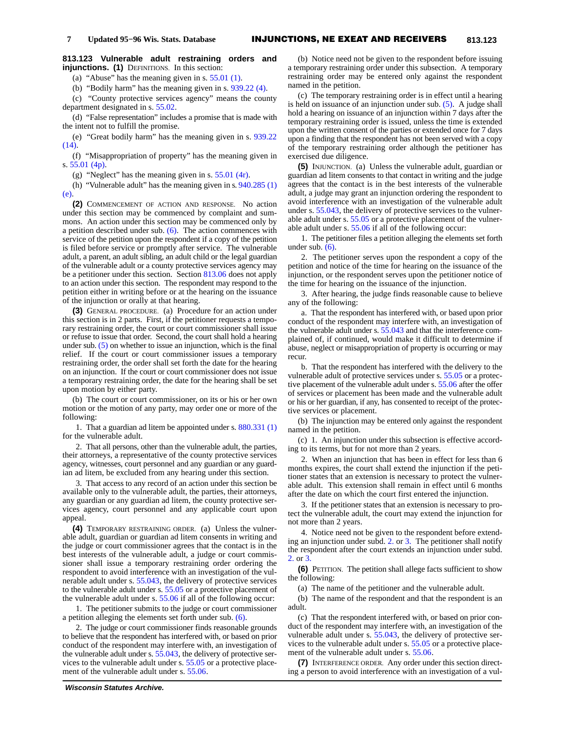**813.123 Vulnerable adult restraining orders and injunctions. (1)** DEFINITIONS. In this section:

(a) "Abuse" has the meaning given in s. [55.01 \(1\).](https://docs.legis.wisconsin.gov/document/statutes/1995/55.01(1))

(b) "Bodily harm" has the meaning given in s. [939.22 \(4\)](https://docs.legis.wisconsin.gov/document/statutes/1995/939.22(4)).

(c) "County protective services agency" means the county department designated in s. [55.02.](https://docs.legis.wisconsin.gov/document/statutes/1995/55.02)

(d) "False representation" includes a promise that is made with the intent not to fulfill the promise.

(e) "Great bodily harm" has the meaning given in s. [939.22](https://docs.legis.wisconsin.gov/document/statutes/1995/939.22(14)) [\(14\).](https://docs.legis.wisconsin.gov/document/statutes/1995/939.22(14))

(f) "Misappropriation of property" has the meaning given in s. [55.01 \(4p\).](https://docs.legis.wisconsin.gov/document/statutes/1995/55.01(4p))

(g) "Neglect" has the meaning given in s. [55.01 \(4r\)](https://docs.legis.wisconsin.gov/document/statutes/1995/55.01(4r)).

(h) "Vulnerable adult" has the meaning given in s. [940.285 \(1\)](https://docs.legis.wisconsin.gov/document/statutes/1995/940.285(1)(e)) [\(e\).](https://docs.legis.wisconsin.gov/document/statutes/1995/940.285(1)(e))

**(2)** COMMENCEMENT OF ACTION AND RESPONSE. No action under this section may be commenced by complaint and summons. An action under this section may be commenced only by a petition described under sub.  $(6)$ . The action commences with service of the petition upon the respondent if a copy of the petition is filed before service or promptly after service. The vulnerable adult, a parent, an adult sibling, an adult child or the legal guardian of the vulnerable adult or a county protective services agency may be a petitioner under this section. Section [813.06](https://docs.legis.wisconsin.gov/document/statutes/1995/813.06) does not apply to an action under this section. The respondent may respond to the petition either in writing before or at the hearing on the issuance of the injunction or orally at that hearing.

**(3)** GENERAL PROCEDURE. (a) Procedure for an action under this section is in 2 parts. First, if the petitioner requests a temporary restraining order, the court or court commissioner shall issue or refuse to issue that order. Second, the court shall hold a hearing under sub. [\(5\)](https://docs.legis.wisconsin.gov/document/statutes/1995/813.123(5)) on whether to issue an injunction, which is the final relief. If the court or court commissioner issues a temporary restraining order, the order shall set forth the date for the hearing on an injunction. If the court or court commissioner does not issue a temporary restraining order, the date for the hearing shall be set upon motion by either party.

(b) The court or court commissioner, on its or his or her own motion or the motion of any party, may order one or more of the following:

1. That a guardian ad litem be appointed under s. [880.331 \(1\)](https://docs.legis.wisconsin.gov/document/statutes/1995/880.331(1)) for the vulnerable adult.

2. That all persons, other than the vulnerable adult, the parties, their attorneys, a representative of the county protective services agency, witnesses, court personnel and any guardian or any guardian ad litem, be excluded from any hearing under this section.

3. That access to any record of an action under this section be available only to the vulnerable adult, the parties, their attorneys, any guardian or any guardian ad litem, the county protective services agency, court personnel and any applicable court upon appeal.

**(4)** TEMPORARY RESTRAINING ORDER. (a) Unless the vulnerable adult, guardian or guardian ad litem consents in writing and the judge or court commissioner agrees that the contact is in the best interests of the vulnerable adult, a judge or court commissioner shall issue a temporary restraining order ordering the respondent to avoid interference with an investigation of the vulnerable adult under s. [55.043,](https://docs.legis.wisconsin.gov/document/statutes/1995/55.043) the delivery of protective services to the vulnerable adult under s. [55.05](https://docs.legis.wisconsin.gov/document/statutes/1995/55.05) or a protective placement of the vulnerable adult under s. [55.06](https://docs.legis.wisconsin.gov/document/statutes/1995/55.06) if all of the following occur:

1. The petitioner submits to the judge or court commissioner a petition alleging the elements set forth under sub. [\(6\).](https://docs.legis.wisconsin.gov/document/statutes/1995/813.123(6))

2. The judge or court commissioner finds reasonable grounds to believe that the respondent has interfered with, or based on prior conduct of the respondent may interfere with, an investigation of the vulnerable adult under s. [55.043](https://docs.legis.wisconsin.gov/document/statutes/1995/55.043), the delivery of protective services to the vulnerable adult under s. [55.05](https://docs.legis.wisconsin.gov/document/statutes/1995/55.05) or a protective placement of the vulnerable adult under s. [55.06](https://docs.legis.wisconsin.gov/document/statutes/1995/55.06).

(c) The temporary restraining order is in effect until a hearing is held on issuance of an injunction under sub. [\(5\).](https://docs.legis.wisconsin.gov/document/statutes/1995/813.123(5)) A judge shall hold a hearing on issuance of an injunction within 7 days after the temporary restraining order is issued, unless the time is extended upon the written consent of the parties or extended once for 7 days upon a finding that the respondent has not been served with a copy of the temporary restraining order although the petitioner has exercised due diligence.

**(5)** INJUNCTION. (a) Unless the vulnerable adult, guardian or guardian ad litem consents to that contact in writing and the judge agrees that the contact is in the best interests of the vulnerable adult, a judge may grant an injunction ordering the respondent to avoid interference with an investigation of the vulnerable adult under s. [55.043,](https://docs.legis.wisconsin.gov/document/statutes/1995/55.043) the delivery of protective services to the vulnerable adult under s. [55.05](https://docs.legis.wisconsin.gov/document/statutes/1995/55.05) or a protective placement of the vulnerable adult under s. [55.06](https://docs.legis.wisconsin.gov/document/statutes/1995/55.06) if all of the following occur:

1. The petitioner files a petition alleging the elements set forth under sub.  $(6)$ .

2. The petitioner serves upon the respondent a copy of the petition and notice of the time for hearing on the issuance of the injunction, or the respondent serves upon the petitioner notice of the time for hearing on the issuance of the injunction.

3. After hearing, the judge finds reasonable cause to believe any of the following:

a. That the respondent has interfered with, or based upon prior conduct of the respondent may interfere with, an investigation of the vulnerable adult under s. [55.043](https://docs.legis.wisconsin.gov/document/statutes/1995/55.043) and that the interference complained of, if continued, would make it difficult to determine if abuse, neglect or misappropriation of property is occurring or may recur.

b. That the respondent has interfered with the delivery to the vulnerable adult of protective services under s. [55.05](https://docs.legis.wisconsin.gov/document/statutes/1995/55.05) or a protective placement of the vulnerable adult under s. [55.06](https://docs.legis.wisconsin.gov/document/statutes/1995/55.06) after the offer of services or placement has been made and the vulnerable adult or his or her guardian, if any, has consented to receipt of the protective services or placement.

(b) The injunction may be entered only against the respondent named in the petition.

(c) 1. An injunction under this subsection is effective according to its terms, but for not more than 2 years.

2. When an injunction that has been in effect for less than 6 months expires, the court shall extend the injunction if the petitioner states that an extension is necessary to protect the vulnerable adult. This extension shall remain in effect until 6 months after the date on which the court first entered the injunction.

3. If the petitioner states that an extension is necessary to protect the vulnerable adult, the court may extend the injunction for not more than 2 years.

4. Notice need not be given to the respondent before extending an injunction under subd. [2.](https://docs.legis.wisconsin.gov/document/statutes/1995/813.123(5)(c)2.) or [3.](https://docs.legis.wisconsin.gov/document/statutes/1995/813.123(5)(c)3.) The petitioner shall notify the respondent after the court extends an injunction under subd. [2.](https://docs.legis.wisconsin.gov/document/statutes/1995/813.123(5)(c)2.) or [3.](https://docs.legis.wisconsin.gov/document/statutes/1995/813.123(5)(c)3.)

**(6)** PETITION. The petition shall allege facts sufficient to show the following:

(a) The name of the petitioner and the vulnerable adult.

(b) The name of the respondent and that the respondent is an adult.

(c) That the respondent interfered with, or based on prior conduct of the respondent may interfere with, an investigation of the vulnerable adult under s. [55.043,](https://docs.legis.wisconsin.gov/document/statutes/1995/55.043) the delivery of protective services to the vulnerable adult under s. [55.05](https://docs.legis.wisconsin.gov/document/statutes/1995/55.05) or a protective placement of the vulnerable adult under s. [55.06.](https://docs.legis.wisconsin.gov/document/statutes/1995/55.06)

**(7)** INTERFERENCE ORDER. Any order under this section directing a person to avoid interference with an investigation of a vul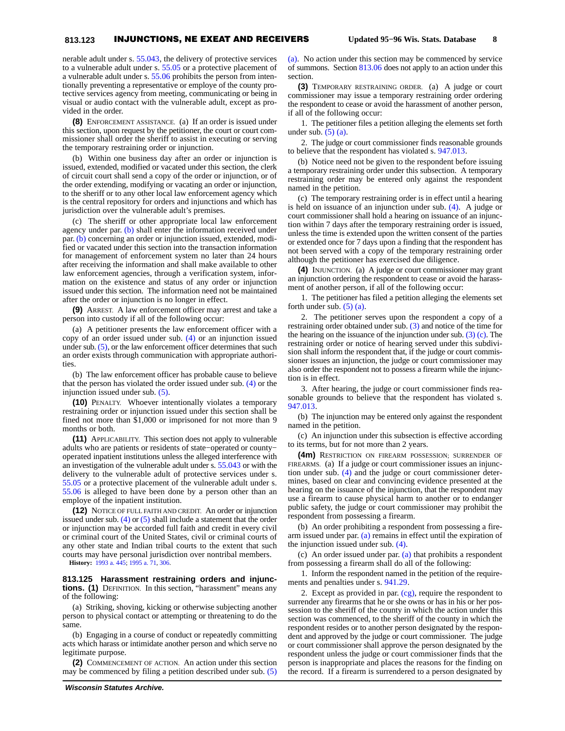nerable adult under s. [55.043,](https://docs.legis.wisconsin.gov/document/statutes/1995/55.043) the delivery of protective services to a vulnerable adult under s. [55.05](https://docs.legis.wisconsin.gov/document/statutes/1995/55.05) or a protective placement of a vulnerable adult under s. [55.06](https://docs.legis.wisconsin.gov/document/statutes/1995/55.06) prohibits the person from intentionally preventing a representative or employe of the county protective services agency from meeting, communicating or being in visual or audio contact with the vulnerable adult, except as provided in the order.

**(8)** ENFORCEMENT ASSISTANCE. (a) If an order is issued under this section, upon request by the petitioner, the court or court commissioner shall order the sheriff to assist in executing or serving the temporary restraining order or injunction.

(b) Within one business day after an order or injunction is issued, extended, modified or vacated under this section, the clerk of circuit court shall send a copy of the order or injunction, or of the order extending, modifying or vacating an order or injunction, to the sheriff or to any other local law enforcement agency which is the central repository for orders and injunctions and which has jurisdiction over the vulnerable adult's premises.

(c) The sheriff or other appropriate local law enforcement agency under par. [\(b\)](https://docs.legis.wisconsin.gov/document/statutes/1995/813.123(8)(b)) shall enter the information received under par. [\(b\)](https://docs.legis.wisconsin.gov/document/statutes/1995/813.123(8)(b)) concerning an order or injunction issued, extended, modified or vacated under this section into the transaction information for management of enforcement system no later than 24 hours after receiving the information and shall make available to other law enforcement agencies, through a verification system, information on the existence and status of any order or injunction issued under this section. The information need not be maintained after the order or injunction is no longer in effect.

**(9)** ARREST. A law enforcement officer may arrest and take a person into custody if all of the following occur:

(a) A petitioner presents the law enforcement officer with a copy of an order issued under sub. [\(4\)](https://docs.legis.wisconsin.gov/document/statutes/1995/813.123(4)) or an injunction issued under sub. [\(5\),](https://docs.legis.wisconsin.gov/document/statutes/1995/813.123(5)) or the law enforcement officer determines that such an order exists through communication with appropriate authorities.

(b) The law enforcement officer has probable cause to believe that the person has violated the order issued under sub. [\(4\)](https://docs.legis.wisconsin.gov/document/statutes/1995/813.123(4)) or the injunction issued under sub. [\(5\)](https://docs.legis.wisconsin.gov/document/statutes/1995/813.123(5)).

**(10)** PENALTY. Whoever intentionally violates a temporary restraining order or injunction issued under this section shall be fined not more than \$1,000 or imprisoned for not more than 9 months or both.

**(11)** APPLICABILITY. This section does not apply to vulnerable adults who are patients or residents of state−operated or county− operated inpatient institutions unless the alleged interference with an investigation of the vulnerable adult under s. [55.043](https://docs.legis.wisconsin.gov/document/statutes/1995/55.043) or with the delivery to the vulnerable adult of protective services under s. [55.05](https://docs.legis.wisconsin.gov/document/statutes/1995/55.05) or a protective placement of the vulnerable adult under s. [55.06](https://docs.legis.wisconsin.gov/document/statutes/1995/55.06) is alleged to have been done by a person other than an employe of the inpatient institution.

**(12)** NOTICE OF FULL FAITH AND CREDIT. An order or injunction issued under sub.  $(4)$  or  $(5)$  shall include a statement that the order or injunction may be accorded full faith and credit in every civil or criminal court of the United States, civil or criminal courts of any other state and Indian tribal courts to the extent that such courts may have personal jurisdiction over nontribal members.

**History:** [1993 a. 445](https://docs.legis.wisconsin.gov/document/acts/1993/445); [1995 a. 71,](https://docs.legis.wisconsin.gov/document/acts/1995/71) [306.](https://docs.legis.wisconsin.gov/document/acts/1995/306)

**813.125 Harassment restraining orders and injunctions. (1)** DEFINITION. In this section, "harassment" means any of the following:

(a) Striking, shoving, kicking or otherwise subjecting another person to physical contact or attempting or threatening to do the same.

(b) Engaging in a course of conduct or repeatedly committing acts which harass or intimidate another person and which serve no legitimate purpose.

**(2)** COMMENCEMENT OF ACTION. An action under this section may be commenced by filing a petition described under sub. [\(5\)](https://docs.legis.wisconsin.gov/document/statutes/1995/813.125(5)(a)) [\(a\)](https://docs.legis.wisconsin.gov/document/statutes/1995/813.125(5)(a)). No action under this section may be commenced by service of summons. Section [813.06](https://docs.legis.wisconsin.gov/document/statutes/1995/813.06) does not apply to an action under this section.

**(3)** TEMPORARY RESTRAINING ORDER. (a) A judge or court commissioner may issue a temporary restraining order ordering the respondent to cease or avoid the harassment of another person, if all of the following occur:

1. The petitioner files a petition alleging the elements set forth under sub.  $(5)$  (a).

2. The judge or court commissioner finds reasonable grounds to believe that the respondent has violated s. [947.013](https://docs.legis.wisconsin.gov/document/statutes/1995/947.013).

(b) Notice need not be given to the respondent before issuing a temporary restraining order under this subsection. A temporary restraining order may be entered only against the respondent named in the petition.

(c) The temporary restraining order is in effect until a hearing is held on issuance of an injunction under sub. [\(4\)](https://docs.legis.wisconsin.gov/document/statutes/1995/813.125(4)). A judge or court commissioner shall hold a hearing on issuance of an injunction within 7 days after the temporary restraining order is issued, unless the time is extended upon the written consent of the parties or extended once for 7 days upon a finding that the respondent has not been served with a copy of the temporary restraining order although the petitioner has exercised due diligence.

**(4)** INJUNCTION. (a) A judge or court commissioner may grant an injunction ordering the respondent to cease or avoid the harassment of another person, if all of the following occur:

1. The petitioner has filed a petition alleging the elements set forth under sub.  $(5)$  (a).

2. The petitioner serves upon the respondent a copy of a restraining order obtained under sub. [\(3\)](https://docs.legis.wisconsin.gov/document/statutes/1995/813.125(3)) and notice of the time for the hearing on the issuance of the injunction under sub.  $(3)$  (c). The restraining order or notice of hearing served under this subdivision shall inform the respondent that, if the judge or court commissioner issues an injunction, the judge or court commissioner may also order the respondent not to possess a firearm while the injunction is in effect.

3. After hearing, the judge or court commissioner finds reasonable grounds to believe that the respondent has violated s. [947.013.](https://docs.legis.wisconsin.gov/document/statutes/1995/947.013)

(b) The injunction may be entered only against the respondent named in the petition.

(c) An injunction under this subsection is effective according to its terms, but for not more than 2 years.

**(4m)** RESTRICTION ON FIREARM POSSESSION; SURRENDER OF FIREARMS. (a) If a judge or court commissioner issues an injunction under sub. [\(4\)](https://docs.legis.wisconsin.gov/document/statutes/1995/813.125(4)) and the judge or court commissioner determines, based on clear and convincing evidence presented at the hearing on the issuance of the injunction, that the respondent may use a firearm to cause physical harm to another or to endanger public safety, the judge or court commissioner may prohibit the respondent from possessing a firearm.

(b) An order prohibiting a respondent from possessing a firearm issued under par. [\(a\)](https://docs.legis.wisconsin.gov/document/statutes/1995/813.125(4m)(a)) remains in effect until the expiration of the injunction issued under sub. [\(4\).](https://docs.legis.wisconsin.gov/document/statutes/1995/813.125(4))

(c) An order issued under par. [\(a\)](https://docs.legis.wisconsin.gov/document/statutes/1995/813.125(4m)(a)) that prohibits a respondent from possessing a firearm shall do all of the following:

1. Inform the respondent named in the petition of the requirements and penalties under s. [941.29.](https://docs.legis.wisconsin.gov/document/statutes/1995/941.29)

2. Except as provided in par. [\(cg\)](https://docs.legis.wisconsin.gov/document/statutes/1995/813.125(4m)(cg)), require the respondent to surrender any firearms that he or she owns or has in his or her possession to the sheriff of the county in which the action under this section was commenced, to the sheriff of the county in which the respondent resides or to another person designated by the respondent and approved by the judge or court commissioner. The judge or court commissioner shall approve the person designated by the respondent unless the judge or court commissioner finds that the person is inappropriate and places the reasons for the finding on the record. If a firearm is surrendered to a person designated by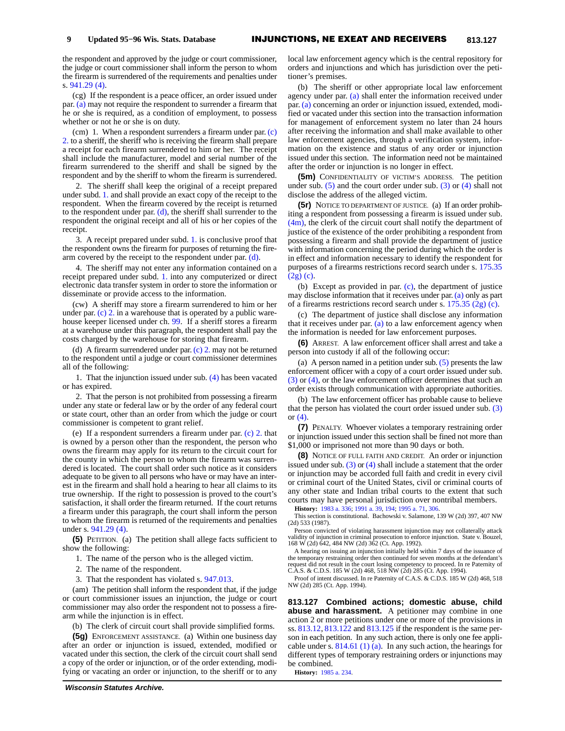the respondent and approved by the judge or court commissioner, the judge or court commissioner shall inform the person to whom the firearm is surrendered of the requirements and penalties under s. [941.29 \(4\).](https://docs.legis.wisconsin.gov/document/statutes/1995/941.29(4))

(cg) If the respondent is a peace officer, an order issued under par. [\(a\)](https://docs.legis.wisconsin.gov/document/statutes/1995/813.125(4m)(a)) may not require the respondent to surrender a firearm that he or she is required, as a condition of employment, to possess whether or not he or she is on duty.

(cm) 1. When a respondent surrenders a firearm under par.  $(c)$ [2.](https://docs.legis.wisconsin.gov/document/statutes/1995/813.125(4m)(c)2.) to a sheriff, the sheriff who is receiving the firearm shall prepare a receipt for each firearm surrendered to him or her. The receipt shall include the manufacturer, model and serial number of the firearm surrendered to the sheriff and shall be signed by the respondent and by the sheriff to whom the firearm is surrendered.

2. The sheriff shall keep the original of a receipt prepared under subd. [1.](https://docs.legis.wisconsin.gov/document/statutes/1995/813.125(4m)(cm)1.) and shall provide an exact copy of the receipt to the respondent. When the firearm covered by the receipt is returned to the respondent under par. [\(d\)](https://docs.legis.wisconsin.gov/document/statutes/1995/813.125(4m)(d)), the sheriff shall surrender to the respondent the original receipt and all of his or her copies of the receipt.

3. A receipt prepared under subd. [1.](https://docs.legis.wisconsin.gov/document/statutes/1995/813.125(4m)(cm)1.) is conclusive proof that the respondent owns the firearm for purposes of returning the firearm covered by the receipt to the respondent under par. [\(d\)](https://docs.legis.wisconsin.gov/document/statutes/1995/813.125(4m)(d)).

4. The sheriff may not enter any information contained on a receipt prepared under subd. [1.](https://docs.legis.wisconsin.gov/document/statutes/1995/813.125(4m)(cm)1.) into any computerized or direct electronic data transfer system in order to store the information or disseminate or provide access to the information.

(cw) A sheriff may store a firearm surrendered to him or her under par. [\(c\) 2.](https://docs.legis.wisconsin.gov/document/statutes/1995/813.125(4m)(c)2.) in a warehouse that is operated by a public warehouse keeper licensed under ch. [99.](https://docs.legis.wisconsin.gov/document/statutes/1995/ch.%2099) If a sheriff stores a firearm at a warehouse under this paragraph, the respondent shall pay the costs charged by the warehouse for storing that firearm.

(d) A firearm surrendered under par. [\(c\) 2.](https://docs.legis.wisconsin.gov/document/statutes/1995/813.125(4m)(c)2.) may not be returned to the respondent until a judge or court commissioner determines all of the following:

1. That the injunction issued under sub. [\(4\)](https://docs.legis.wisconsin.gov/document/statutes/1995/813.125(4)) has been vacated or has expired.

2. That the person is not prohibited from possessing a firearm under any state or federal law or by the order of any federal court or state court, other than an order from which the judge or court commissioner is competent to grant relief.

(e) If a respondent surrenders a firearm under par. [\(c\) 2.](https://docs.legis.wisconsin.gov/document/statutes/1995/813.125(4m)(c)2.) that is owned by a person other than the respondent, the person who owns the firearm may apply for its return to the circuit court for the county in which the person to whom the firearm was surrendered is located. The court shall order such notice as it considers adequate to be given to all persons who have or may have an interest in the firearm and shall hold a hearing to hear all claims to its true ownership. If the right to possession is proved to the court's satisfaction, it shall order the firearm returned. If the court returns a firearm under this paragraph, the court shall inform the person to whom the firearm is returned of the requirements and penalties under s. [941.29 \(4\).](https://docs.legis.wisconsin.gov/document/statutes/1995/941.29(4))

**(5)** PETITION. (a) The petition shall allege facts sufficient to show the following:

1. The name of the person who is the alleged victim.

- 2. The name of the respondent.
- 3. That the respondent has violated s. [947.013.](https://docs.legis.wisconsin.gov/document/statutes/1995/947.013)

(am) The petition shall inform the respondent that, if the judge or court commissioner issues an injunction, the judge or court commissioner may also order the respondent not to possess a firearm while the injunction is in effect.

(b) The clerk of circuit court shall provide simplified forms.

**(5g)** ENFORCEMENT ASSISTANCE. (a) Within one business day after an order or injunction is issued, extended, modified or vacated under this section, the clerk of the circuit court shall send a copy of the order or injunction, or of the order extending, modifying or vacating an order or injunction, to the sheriff or to any

local law enforcement agency which is the central repository for orders and injunctions and which has jurisdiction over the petitioner's premises.

(b) The sheriff or other appropriate local law enforcement agency under par. [\(a\)](https://docs.legis.wisconsin.gov/document/statutes/1995/813.125(5g)(a)) shall enter the information received under par. [\(a\)](https://docs.legis.wisconsin.gov/document/statutes/1995/813.125(5g)(a)) concerning an order or injunction issued, extended, modified or vacated under this section into the transaction information for management of enforcement system no later than 24 hours after receiving the information and shall make available to other law enforcement agencies, through a verification system, information on the existence and status of any order or injunction issued under this section. The information need not be maintained after the order or injunction is no longer in effect.

**(5m)** CONFIDENTIALITY OF VICTIM'S ADDRESS. The petition under sub.  $(5)$  and the court order under sub.  $(3)$  or  $(4)$  shall not disclose the address of the alleged victim.

**(5r)** NOTICE TO DEPARTMENT OF JUSTICE. (a) If an order prohibiting a respondent from possessing a firearm is issued under sub. [\(4m\),](https://docs.legis.wisconsin.gov/document/statutes/1995/813.125(4m)) the clerk of the circuit court shall notify the department of justice of the existence of the order prohibiting a respondent from possessing a firearm and shall provide the department of justice with information concerning the period during which the order is in effect and information necessary to identify the respondent for purposes of a firearms restrictions record search under s. [175.35](https://docs.legis.wisconsin.gov/document/statutes/1995/175.35(2g)(c)) [\(2g\) \(c\).](https://docs.legis.wisconsin.gov/document/statutes/1995/175.35(2g)(c))

(b) Except as provided in par. [\(c\)](https://docs.legis.wisconsin.gov/document/statutes/1995/813.125(5r)(c)), the department of justice may disclose information that it receives under par. [\(a\)](https://docs.legis.wisconsin.gov/document/statutes/1995/813.125(5r)(a)) only as part of a firearms restrictions record search under s. [175.35 \(2g\) \(c\)](https://docs.legis.wisconsin.gov/document/statutes/1995/175.35(2g)(c)).

(c) The department of justice shall disclose any information that it receives under par.  $(a)$  to a law enforcement agency when the information is needed for law enforcement purposes.

**(6)** ARREST. A law enforcement officer shall arrest and take a person into custody if all of the following occur:

(a) A person named in a petition under sub. [\(5\)](https://docs.legis.wisconsin.gov/document/statutes/1995/813.125(5)) presents the law enforcement officer with a copy of a court order issued under sub. [\(3\)](https://docs.legis.wisconsin.gov/document/statutes/1995/813.125(3)) or [\(4\),](https://docs.legis.wisconsin.gov/document/statutes/1995/813.125(4)) or the law enforcement officer determines that such an order exists through communication with appropriate authorities.

(b) The law enforcement officer has probable cause to believe that the person has violated the court order issued under sub. [\(3\)](https://docs.legis.wisconsin.gov/document/statutes/1995/813.125(3)) or [\(4\).](https://docs.legis.wisconsin.gov/document/statutes/1995/813.125(4))

**(7)** PENALTY. Whoever violates a temporary restraining order or injunction issued under this section shall be fined not more than \$1,000 or imprisoned not more than 90 days or both.

**(8)** NOTICE OF FULL FAITH AND CREDIT. An order or injunction issued under sub.  $(3)$  or  $(4)$  shall include a statement that the order or injunction may be accorded full faith and credit in every civil or criminal court of the United States, civil or criminal courts of any other state and Indian tribal courts to the extent that such courts may have personal jurisdiction over nontribal members.

**History:** [1983 a. 336;](https://docs.legis.wisconsin.gov/document/acts/1983/336) [1991 a. 39,](https://docs.legis.wisconsin.gov/document/acts/1991/39) [194;](https://docs.legis.wisconsin.gov/document/acts/1991/194) [1995 a. 71](https://docs.legis.wisconsin.gov/document/acts/1995/71), [306](https://docs.legis.wisconsin.gov/document/acts/1995/306).

This section is constitutional. Bachowski v. Salamone, 139 W (2d) 397, 407 NW (2d) 533 (1987).

Person convicted of violating harassment injunction may not collaterally attack validity of injunction in criminal prosecution to enforce injunction. State v. Bouzel, 168 W (2d) 642, 484 NW (2d) 362 (Ct. App. 1992).

A hearing on issuing an injunction initially held within 7 days of the issuance of the temporary restraining order then continued for seven months at the defendant's request did not result in the court losing competency to proceed. In re Paternity of C.A.S. & C.D.S. 185 W (2d) 468, 518 NW (2d) 285 (Ct. App. 1994).

Proof of intent discussed. In re Paternity of C.A.S. & C.D.S. 185 W (2d) 468, 518 NW (2d) 285 (Ct. App. 1994).

**813.127 Combined actions; domestic abuse, child abuse and harassment.** A petitioner may combine in one action 2 or more petitions under one or more of the provisions in ss. [813.12,](https://docs.legis.wisconsin.gov/document/statutes/1995/813.12) [813.122](https://docs.legis.wisconsin.gov/document/statutes/1995/813.122) and [813.125](https://docs.legis.wisconsin.gov/document/statutes/1995/813.125) if the respondent is the same person in each petition. In any such action, there is only one fee applicable under s.  $814.61$  (1) (a). In any such action, the hearings for different types of temporary restraining orders or injunctions may be combined.

**History:** [1985 a. 234.](https://docs.legis.wisconsin.gov/document/acts/1985/234)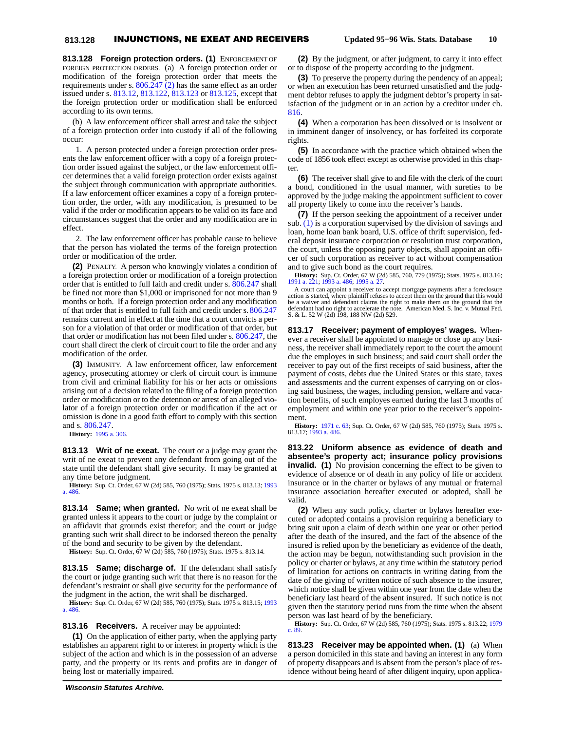**813.128 Foreign protection orders. (1)** ENFORCEMENT OF FOREIGN PROTECTION ORDERS. (a) A foreign protection order or modification of the foreign protection order that meets the requirements under s.  $806.247$  (2) has the same effect as an order issued under s. [813.12,](https://docs.legis.wisconsin.gov/document/statutes/1995/813.12) [813.122,](https://docs.legis.wisconsin.gov/document/statutes/1995/813.122) [813.123](https://docs.legis.wisconsin.gov/document/statutes/1995/813.123) or [813.125,](https://docs.legis.wisconsin.gov/document/statutes/1995/813.125) except that the foreign protection order or modification shall be enforced according to its own terms.

(b) A law enforcement officer shall arrest and take the subject of a foreign protection order into custody if all of the following occur:

1. A person protected under a foreign protection order presents the law enforcement officer with a copy of a foreign protection order issued against the subject, or the law enforcement officer determines that a valid foreign protection order exists against the subject through communication with appropriate authorities. If a law enforcement officer examines a copy of a foreign protection order, the order, with any modification, is presumed to be valid if the order or modification appears to be valid on its face and circumstances suggest that the order and any modification are in effect.

2. The law enforcement officer has probable cause to believe that the person has violated the terms of the foreign protection order or modification of the order.

**(2)** PENALTY. A person who knowingly violates a condition of a foreign protection order or modification of a foreign protection order that is entitled to full faith and credit under s. [806.247](https://docs.legis.wisconsin.gov/document/statutes/1995/806.247) shall be fined not more than \$1,000 or imprisoned for not more than 9 months or both. If a foreign protection order and any modification of that order that is entitled to full faith and credit under s. [806.247](https://docs.legis.wisconsin.gov/document/statutes/1995/806.247) remains current and in effect at the time that a court convicts a person for a violation of that order or modification of that order, but that order or modification has not been filed under s. [806.247](https://docs.legis.wisconsin.gov/document/statutes/1995/806.247), the court shall direct the clerk of circuit court to file the order and any modification of the order.

**(3)** IMMUNITY. A law enforcement officer, law enforcement agency, prosecuting attorney or clerk of circuit court is immune from civil and criminal liability for his or her acts or omissions arising out of a decision related to the filing of a foreign protection order or modification or to the detention or arrest of an alleged violator of a foreign protection order or modification if the act or omission is done in a good faith effort to comply with this section and s. [806.247.](https://docs.legis.wisconsin.gov/document/statutes/1995/806.247)

**History:** [1995 a. 306](https://docs.legis.wisconsin.gov/document/acts/1995/306).

**813.13 Writ of ne exeat.** The court or a judge may grant the writ of ne exeat to prevent any defendant from going out of the state until the defendant shall give security. It may be granted at any time before judgment.

**History:** Sup. Ct. Order, 67 W (2d) 585, 760 (1975); Stats. 1975 s. 813.13; [1993](https://docs.legis.wisconsin.gov/document/acts/1993/486) [a. 486.](https://docs.legis.wisconsin.gov/document/acts/1993/486)

**813.14 Same; when granted.** No writ of ne exeat shall be granted unless it appears to the court or judge by the complaint or an affidavit that grounds exist therefor; and the court or judge granting such writ shall direct to be indorsed thereon the penalty of the bond and security to be given by the defendant.

**History:** Sup. Ct. Order, 67 W (2d) 585, 760 (1975); Stats. 1975 s. 813.14.

**813.15 Same; discharge of.** If the defendant shall satisfy the court or judge granting such writ that there is no reason for the defendant's restraint or shall give security for the performance of the judgment in the action, the writ shall be discharged.

**History:** Sup. Ct. Order, 67 W (2d) 585, 760 (1975); Stats. 1975 s. 813.15; [1993](https://docs.legis.wisconsin.gov/document/acts/1993/486) [a. 486.](https://docs.legis.wisconsin.gov/document/acts/1993/486)

**813.16 Receivers.** A receiver may be appointed:

**(1)** On the application of either party, when the applying party establishes an apparent right to or interest in property which is the subject of the action and which is in the possession of an adverse party, and the property or its rents and profits are in danger of being lost or materially impaired.

**(3)** To preserve the property during the pendency of an appeal; or when an execution has been returned unsatisfied and the judgment debtor refuses to apply the judgment debtor's property in satisfaction of the judgment or in an action by a creditor under ch. [816.](https://docs.legis.wisconsin.gov/document/statutes/1995/ch.%20816)

**(4)** When a corporation has been dissolved or is insolvent or in imminent danger of insolvency, or has forfeited its corporate rights.

**(5)** In accordance with the practice which obtained when the code of 1856 took effect except as otherwise provided in this chapter.

**(6)** The receiver shall give to and file with the clerk of the court a bond, conditioned in the usual manner, with sureties to be approved by the judge making the appointment sufficient to cover all property likely to come into the receiver's hands.

**(7)** If the person seeking the appointment of a receiver under sub. [\(1\)](https://docs.legis.wisconsin.gov/document/statutes/1995/813.16(1)) is a corporation supervised by the division of savings and loan, home loan bank board, U.S. office of thrift supervision, federal deposit insurance corporation or resolution trust corporation, the court, unless the opposing party objects, shall appoint an officer of such corporation as receiver to act without compensation and to give such bond as the court requires.

**History:** Sup. Ct. Order, 67 W (2d) 585, 760, 779 (1975); Stats. 1975 s. 813.16; [1991 a. 221](https://docs.legis.wisconsin.gov/document/acts/1991/221); [1993 a. 486;](https://docs.legis.wisconsin.gov/document/acts/1993/486) [1995 a. 27.](https://docs.legis.wisconsin.gov/document/acts/1995/27)

A court can appoint a receiver to accept mortgage payments after a foreclosure action is started, where plaintiff refuses to accept them on the ground that this would be a waiver and defendant claims the right to make them on the ground that the defendant had no right to accelerate the note. American Med. S. Inc. v. Mutual Fed. S. & L. 52 W (2d) 198, 188 NW (2d) 529.

**813.17 Receiver; payment of employes' wages.** Whenever a receiver shall be appointed to manage or close up any business, the receiver shall immediately report to the court the amount due the employes in such business; and said court shall order the receiver to pay out of the first receipts of said business, after the payment of costs, debts due the United States or this state, taxes and assessments and the current expenses of carrying on or closing said business, the wages, including pension, welfare and vacation benefits, of such employes earned during the last 3 months of employment and within one year prior to the receiver's appointment.

**History:** [1971 c. 63;](https://docs.legis.wisconsin.gov/document/acts/1971/63) Sup. Ct. Order, 67 W (2d) 585, 760 (1975); Stats. 1975 s. 813.17; [1993 a. 486](https://docs.legis.wisconsin.gov/document/acts/1993/486).

**813.22 Uniform absence as evidence of death and absentee's property act; insurance policy provisions invalid.** (1) No provision concerning the effect to be given to evidence of absence or of death in any policy of life or accident insurance or in the charter or bylaws of any mutual or fraternal insurance association hereafter executed or adopted, shall be valid.

**(2)** When any such policy, charter or bylaws hereafter executed or adopted contains a provision requiring a beneficiary to bring suit upon a claim of death within one year or other period after the death of the insured, and the fact of the absence of the insured is relied upon by the beneficiary as evidence of the death, the action may be begun, notwithstanding such provision in the policy or charter or bylaws, at any time within the statutory period of limitation for actions on contracts in writing dating from the date of the giving of written notice of such absence to the insurer, which notice shall be given within one year from the date when the beneficiary last heard of the absent insured. If such notice is not given then the statutory period runs from the time when the absent person was last heard of by the beneficiary.

**History:** Sup. Ct. Order, 67 W (2d) 585, 760 (1975); Stats. 1975 s. 813.22; [1979](https://docs.legis.wisconsin.gov/document/acts/1979/89) [c. 89.](https://docs.legis.wisconsin.gov/document/acts/1979/89)

**813.23 Receiver may be appointed when. (1)** (a) When a person domiciled in this state and having an interest in any form of property disappears and is absent from the person's place of residence without being heard of after diligent inquiry, upon applica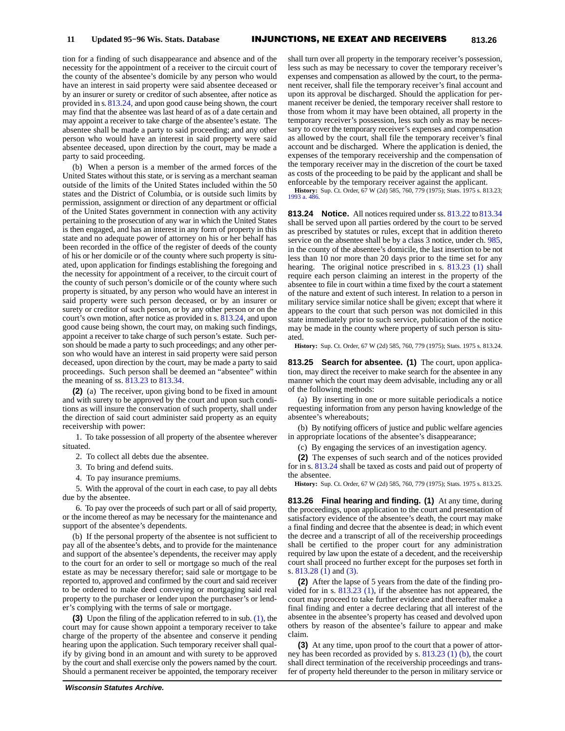tion for a finding of such disappearance and absence and of the necessity for the appointment of a receiver to the circuit court of the county of the absentee's domicile by any person who would have an interest in said property were said absentee deceased or by an insurer or surety or creditor of such absentee, after notice as provided in s. [813.24,](https://docs.legis.wisconsin.gov/document/statutes/1995/813.24) and upon good cause being shown, the court may find that the absentee was last heard of as of a date certain and may appoint a receiver to take charge of the absentee's estate. The absentee shall be made a party to said proceeding; and any other person who would have an interest in said property were said absentee deceased, upon direction by the court, may be made a party to said proceeding.

(b) When a person is a member of the armed forces of the United States without this state, or is serving as a merchant seaman outside of the limits of the United States included within the 50 states and the District of Columbia, or is outside such limits by permission, assignment or direction of any department or official of the United States government in connection with any activity pertaining to the prosecution of any war in which the United States is then engaged, and has an interest in any form of property in this state and no adequate power of attorney on his or her behalf has been recorded in the office of the register of deeds of the county of his or her domicile or of the county where such property is situated, upon application for findings establishing the foregoing and the necessity for appointment of a receiver, to the circuit court of the county of such person's domicile or of the county where such property is situated, by any person who would have an interest in said property were such person deceased, or by an insurer or surety or creditor of such person, or by any other person or on the court's own motion, after notice as provided in s. [813.24](https://docs.legis.wisconsin.gov/document/statutes/1995/813.24), and upon good cause being shown, the court may, on making such findings, appoint a receiver to take charge of such person's estate. Such person should be made a party to such proceedings; and any other person who would have an interest in said property were said person deceased, upon direction by the court, may be made a party to said proceedings. Such person shall be deemed an "absentee" within the meaning of ss. [813.23](https://docs.legis.wisconsin.gov/document/statutes/1995/813.23) to [813.34](https://docs.legis.wisconsin.gov/document/statutes/1995/813.34).

**(2)** (a) The receiver, upon giving bond to be fixed in amount and with surety to be approved by the court and upon such conditions as will insure the conservation of such property, shall under the direction of said court administer said property as an equity receivership with power:

1. To take possession of all property of the absentee wherever situated.

2. To collect all debts due the absentee.

3. To bring and defend suits.

4. To pay insurance premiums.

5. With the approval of the court in each case, to pay all debts due by the absentee.

6. To pay over the proceeds of such part or all of said property, or the income thereof as may be necessary for the maintenance and support of the absentee's dependents.

(b) If the personal property of the absentee is not sufficient to pay all of the absentee's debts, and to provide for the maintenance and support of the absentee's dependents, the receiver may apply to the court for an order to sell or mortgage so much of the real estate as may be necessary therefor; said sale or mortgage to be reported to, approved and confirmed by the court and said receiver to be ordered to make deed conveying or mortgaging said real property to the purchaser or lender upon the purchaser's or lender's complying with the terms of sale or mortgage.

**(3)** Upon the filing of the application referred to in sub. [\(1\),](https://docs.legis.wisconsin.gov/document/statutes/1995/813.23(1)) the court may for cause shown appoint a temporary receiver to take charge of the property of the absentee and conserve it pending hearing upon the application. Such temporary receiver shall qualify by giving bond in an amount and with surety to be approved by the court and shall exercise only the powers named by the court. Should a permanent receiver be appointed, the temporary receiver

shall turn over all property in the temporary receiver's possession, less such as may be necessary to cover the temporary receiver's expenses and compensation as allowed by the court, to the permanent receiver, shall file the temporary receiver's final account and upon its approval be discharged. Should the application for permanent receiver be denied, the temporary receiver shall restore to those from whom it may have been obtained, all property in the temporary receiver's possession, less such only as may be necessary to cover the temporary receiver's expenses and compensation as allowed by the court, shall file the temporary receiver's final account and be discharged. Where the application is denied, the expenses of the temporary receivership and the compensation of the temporary receiver may in the discretion of the court be taxed as costs of the proceeding to be paid by the applicant and shall be enforceable by the temporary receiver against the applicant.

**History:** Sup. Ct. Order, 67 W (2d) 585, 760, 779 (1975); Stats. 1975 s. 813.23; [1993 a. 486](https://docs.legis.wisconsin.gov/document/acts/1993/486).

**813.24 Notice.** All notices required under ss. [813.22](https://docs.legis.wisconsin.gov/document/statutes/1995/813.22) to [813.34](https://docs.legis.wisconsin.gov/document/statutes/1995/813.34) shall be served upon all parties ordered by the court to be served as prescribed by statutes or rules, except that in addition thereto service on the absentee shall be by a class 3 notice, under ch. [985](https://docs.legis.wisconsin.gov/document/statutes/1995/ch.%20985), in the county of the absentee's domicile, the last insertion to be not less than 10 nor more than 20 days prior to the time set for any hearing. The original notice prescribed in s. [813.23 \(1\)](https://docs.legis.wisconsin.gov/document/statutes/1995/813.23(1)) shall require each person claiming an interest in the property of the absentee to file in court within a time fixed by the court a statement of the nature and extent of such interest. In relation to a person in military service similar notice shall be given; except that where it appears to the court that such person was not domiciled in this state immediately prior to such service, publication of the notice may be made in the county where property of such person is situated.

**History:** Sup. Ct. Order, 67 W (2d) 585, 760, 779 (1975); Stats. 1975 s. 813.24.

**813.25 Search for absentee. (1)** The court, upon application, may direct the receiver to make search for the absentee in any manner which the court may deem advisable, including any or all of the following methods:

(a) By inserting in one or more suitable periodicals a notice requesting information from any person having knowledge of the absentee's whereabouts;

(b) By notifying officers of justice and public welfare agencies in appropriate locations of the absentee's disappearance;

(c) By engaging the services of an investigation agency.

**(2)** The expenses of such search and of the notices provided for in s. [813.24](https://docs.legis.wisconsin.gov/document/statutes/1995/813.24) shall be taxed as costs and paid out of property of the absentee.

**History:** Sup. Ct. Order, 67 W (2d) 585, 760, 779 (1975); Stats. 1975 s. 813.25.

**813.26 Final hearing and finding. (1)** At any time, during the proceedings, upon application to the court and presentation of satisfactory evidence of the absentee's death, the court may make a final finding and decree that the absentee is dead; in which event the decree and a transcript of all of the receivership proceedings shall be certified to the proper court for any administration required by law upon the estate of a decedent, and the receivership court shall proceed no further except for the purposes set forth in s. [813.28 \(1\)](https://docs.legis.wisconsin.gov/document/statutes/1995/813.28(1)) and [\(3\)](https://docs.legis.wisconsin.gov/document/statutes/1995/813.28(3)).

**(2)** After the lapse of 5 years from the date of the finding provided for in s. [813.23 \(1\)](https://docs.legis.wisconsin.gov/document/statutes/1995/813.23(1)), if the absentee has not appeared, the court may proceed to take further evidence and thereafter make a final finding and enter a decree declaring that all interest of the absentee in the absentee's property has ceased and devolved upon others by reason of the absentee's failure to appear and make claim.

**(3)** At any time, upon proof to the court that a power of attorney has been recorded as provided by s. [813.23 \(1\) \(b\)](https://docs.legis.wisconsin.gov/document/statutes/1995/813.23(1)(b)), the court shall direct termination of the receivership proceedings and transfer of property held thereunder to the person in military service or